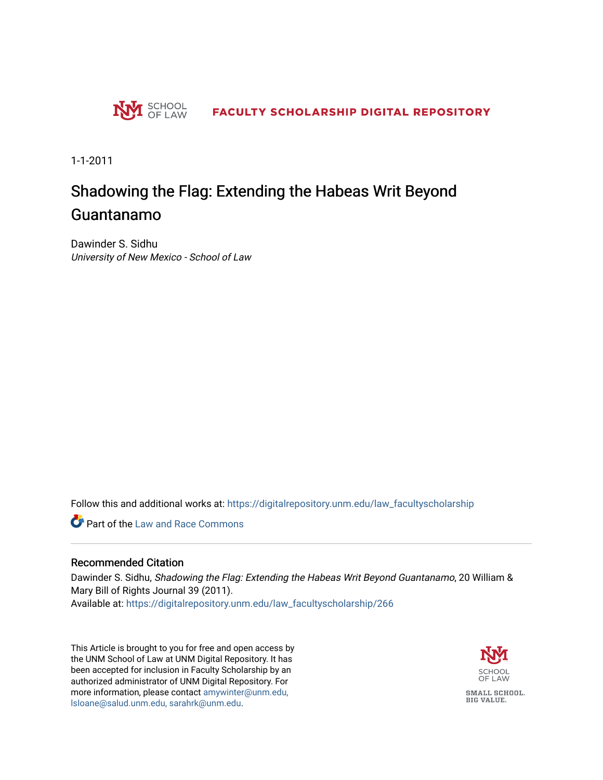

1-1-2011

# Shadowing the Flag: Extending the Habeas Writ Beyond Guantanamo

Dawinder S. Sidhu University of New Mexico - School of Law

Follow this and additional works at: [https://digitalrepository.unm.edu/law\\_facultyscholarship](https://digitalrepository.unm.edu/law_facultyscholarship?utm_source=digitalrepository.unm.edu%2Flaw_facultyscholarship%2F266&utm_medium=PDF&utm_campaign=PDFCoverPages) 

Part of the [Law and Race Commons](http://network.bepress.com/hgg/discipline/1300?utm_source=digitalrepository.unm.edu%2Flaw_facultyscholarship%2F266&utm_medium=PDF&utm_campaign=PDFCoverPages) 

# Recommended Citation

Dawinder S. Sidhu, Shadowing the Flag: Extending the Habeas Writ Beyond Guantanamo, 20 William & Mary Bill of Rights Journal 39 (2011).

Available at: [https://digitalrepository.unm.edu/law\\_facultyscholarship/266](https://digitalrepository.unm.edu/law_facultyscholarship/266?utm_source=digitalrepository.unm.edu%2Flaw_facultyscholarship%2F266&utm_medium=PDF&utm_campaign=PDFCoverPages) 

This Article is brought to you for free and open access by the UNM School of Law at UNM Digital Repository. It has been accepted for inclusion in Faculty Scholarship by an authorized administrator of UNM Digital Repository. For more information, please contact [amywinter@unm.edu,](mailto:amywinter@unm.edu,%20lsloane@salud.unm.edu,%20sarahrk@unm.edu)  [lsloane@salud.unm.edu, sarahrk@unm.edu.](mailto:amywinter@unm.edu,%20lsloane@salud.unm.edu,%20sarahrk@unm.edu)



**BIG VALUE.**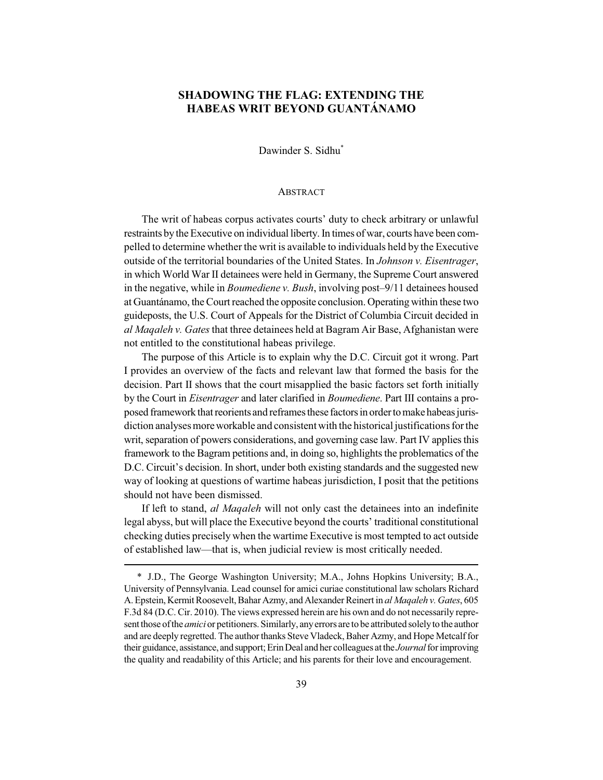# **SHADOWING THE FLAG: EXTENDING THE HABEAS WRIT BEYOND GUANTÁNAMO**

Dawinder S. Sidhu\*

#### ABSTRACT

The writ of habeas corpus activates courts' duty to check arbitrary or unlawful restraints by the Executive on individual liberty. In times of war, courts have been compelled to determine whether the writ is available to individuals held by the Executive outside of the territorial boundaries of the United States. In *Johnson v. Eisentrager*, in which World War II detainees were held in Germany, the Supreme Court answered in the negative, while in *Boumediene v. Bush*, involving post–9/11 detainees housed at Guantánamo, the Court reached the opposite conclusion. Operating within these two guideposts, the U.S. Court of Appeals for the District of Columbia Circuit decided in *al Maqaleh v. Gates* that three detainees held at Bagram Air Base, Afghanistan were not entitled to the constitutional habeas privilege.

The purpose of this Article is to explain why the D.C. Circuit got it wrong. Part I provides an overview of the facts and relevant law that formed the basis for the decision. Part II shows that the court misapplied the basic factors set forth initially by the Court in *Eisentrager* and later clarified in *Boumediene*. Part III contains a proposed framework that reorients and reframes these factors in order to make habeas jurisdiction analyses more workable and consistent with the historical justifications for the writ, separation of powers considerations, and governing case law. Part IV applies this framework to the Bagram petitions and, in doing so, highlights the problematics of the D.C. Circuit's decision. In short, under both existing standards and the suggested new way of looking at questions of wartime habeas jurisdiction, I posit that the petitions should not have been dismissed.

If left to stand, *al Maqaleh* will not only cast the detainees into an indefinite legal abyss, but will place the Executive beyond the courts' traditional constitutional checking duties precisely when the wartime Executive is most tempted to act outside of established law—that is, when judicial review is most critically needed.

<sup>\*</sup> J.D., The George Washington University; M.A., Johns Hopkins University; B.A., University of Pennsylvania. Lead counsel for amici curiae constitutional law scholars Richard A. Epstein, Kermit Roosevelt, Bahar Azmy, and Alexander Reinert in *al Maqaleh v. Gates*, 605 F.3d 84 (D.C. Cir. 2010). The views expressed herein are his own and do not necessarily represent those of the *amici* or petitioners. Similarly, any errors are to be attributed solely to the author and are deeply regretted. The author thanks Steve Vladeck, Baher Azmy, and Hope Metcalf for their guidance, assistance, and support; Erin Deal and her colleagues at the *Journal* for improving the quality and readability of this Article; and his parents for their love and encouragement.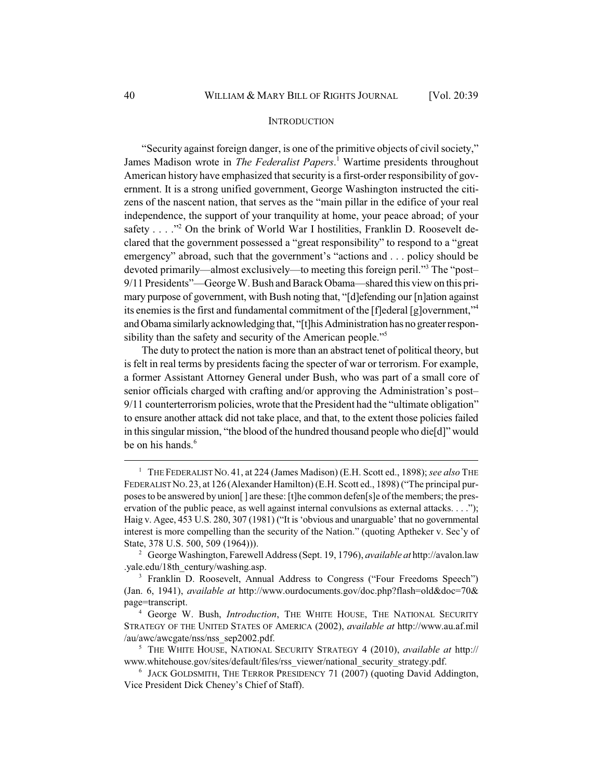# **INTRODUCTION**

"Security against foreign danger, is one of the primitive objects of civil society," James Madison wrote in *The Federalist Papers*. 1 Wartime presidents throughout American history have emphasized that security is a first-order responsibility of government. It is a strong unified government, George Washington instructed the citizens of the nascent nation, that serves as the "main pillar in the edifice of your real independence, the support of your tranquility at home, your peace abroad; of your safety . . . ."<sup>2</sup> On the brink of World War I hostilities, Franklin D. Roosevelt declared that the government possessed a "great responsibility" to respond to a "great emergency" abroad, such that the government's "actions and . . . policy should be devoted primarily—almost exclusively—to meeting this foreign peril."<sup>3</sup> The "post-9/11 Presidents"—George W. Bush and Barack Obama—shared this view on this primary purpose of government, with Bush noting that, "[d]efending our [n]ation against its enemies is the first and fundamental commitment of the [f]ederal [g]overnment,"4 and Obama similarly acknowledging that, "[t]his Administration has no greater responsibility than the safety and security of the American people."<sup>5</sup>

The duty to protect the nation is more than an abstract tenet of political theory, but is felt in real terms by presidents facing the specter of war or terrorism. For example, a former Assistant Attorney General under Bush, who was part of a small core of senior officials charged with crafting and/or approving the Administration's post– 9/11 counterterrorism policies, wrote that the President had the "ultimate obligation" to ensure another attack did not take place, and that, to the extent those policies failed in this singular mission, "the blood of the hundred thousand people who die[d]" would be on his hands.<sup>6</sup>

<sup>1</sup> THE FEDERALIST NO. 41, at 224 (James Madison) (E.H. Scott ed., 1898); *see also* THE FEDERALIST NO.23, at 126 (Alexander Hamilton) (E.H. Scott ed., 1898) ("The principal purposes to be answered by union[ ] are these: [t]he common defen[s]e of the members; the preservation of the public peace, as well against internal convulsions as external attacks. . . ."); Haig v. Agee, 453 U.S. 280, 307 (1981) ("It is 'obvious and unarguable' that no governmental interest is more compelling than the security of the Nation." (quoting Aptheker v. Sec'y of State, 378 U.S. 500, 509 (1964))).

<sup>2</sup> George Washington, Farewell Address (Sept. 19, 1796), *available at* http://avalon.law .yale.edu/18th\_century/washing.asp.

<sup>&</sup>lt;sup>3</sup> Franklin D. Roosevelt, Annual Address to Congress ("Four Freedoms Speech") (Jan. 6, 1941), *available at* http://www.ourdocuments.gov/doc.php?flash=old&doc=70& page=transcript.

<sup>4</sup> George W. Bush, *Introduction*, THE WHITE HOUSE, THE NATIONAL SECURITY STRATEGY OF THE UNITED STATES OF AMERICA (2002), *available at* http://www.au.af.mil /au/awc/awcgate/nss/nss\_sep2002.pdf.

<sup>5</sup> THE WHITE HOUSE, NATIONAL SECURITY STRATEGY 4 (2010), *available at* http:// www.whitehouse.gov/sites/default/files/rss\_viewer/national\_security\_strategy.pdf.

<sup>6</sup> JACK GOLDSMITH, THE TERROR PRESIDENCY 71 (2007) (quoting David Addington, Vice President Dick Cheney's Chief of Staff).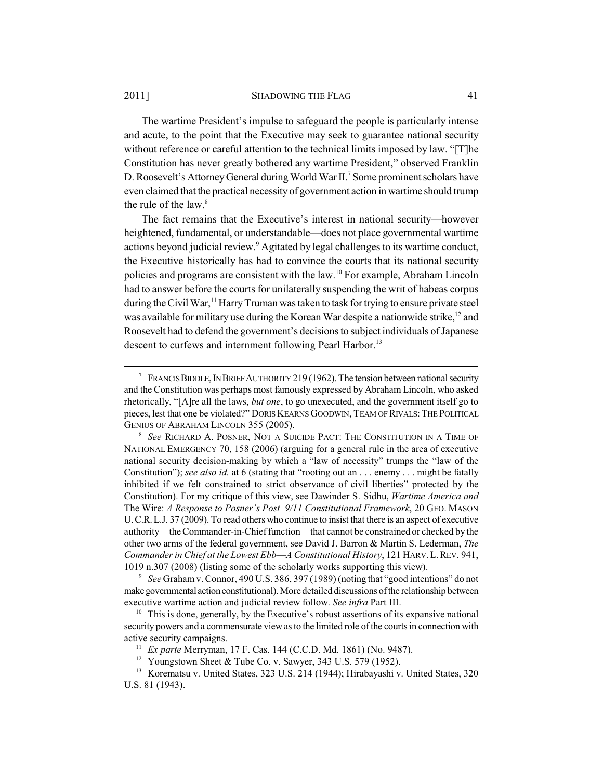#### 2011] SHADOWING THE FLAG 41

The wartime President's impulse to safeguard the people is particularly intense and acute, to the point that the Executive may seek to guarantee national security without reference or careful attention to the technical limits imposed by law. "[T]he Constitution has never greatly bothered any wartime President," observed Franklin D. Roosevelt's Attorney General during World War II.<sup>7</sup> Some prominent scholars have even claimed that the practical necessity of government action in wartime should trump the rule of the law. $8$ 

The fact remains that the Executive's interest in national security—however heightened, fundamental, or understandable—does not place governmental wartime actions beyond judicial review.<sup>9</sup> Agitated by legal challenges to its wartime conduct, the Executive historically has had to convince the courts that its national security policies and programs are consistent with the law.10 For example, Abraham Lincoln had to answer before the courts for unilaterally suspending the writ of habeas corpus during the Civil War,<sup>11</sup> Harry Truman was taken to task for trying to ensure private steel was available for military use during the Korean War despite a nationwide strike,  $12$  and Roosevelt had to defend the government's decisions to subject individuals of Japanese descent to curfews and internment following Pearl Harbor.<sup>13</sup>

<sup>9</sup> *See* Graham v. Connor, 490 U.S. 386, 397 (1989) (noting that "good intentions" do not make governmental action constitutional). More detailed discussions of the relationship between executive wartime action and judicial review follow. *See infra* Part III.

 $10$  This is done, generally, by the Executive's robust assertions of its expansive national security powers and a commensurate view as to the limited role of the courts in connection with active security campaigns.

<sup>&</sup>lt;sup>7</sup> FRANCIS BIDDLE, IN BRIEF AUTHORITY 219 (1962). The tension between national security and the Constitution was perhaps most famously expressed by Abraham Lincoln, who asked rhetorically, "[A]re all the laws, *but one*, to go unexecuted, and the government itself go to pieces, lest that one be violated?" DORIS KEARNS GOODWIN, TEAM OF RIVALS:THE POLITICAL GENIUS OF ABRAHAM LINCOLN 355 (2005).

<sup>8</sup> *See* RICHARD A. POSNER, NOT A SUICIDE PACT: THE CONSTITUTION IN A TIME OF NATIONAL EMERGENCY 70, 158 (2006) (arguing for a general rule in the area of executive national security decision-making by which a "law of necessity" trumps the "law of the Constitution"); *see also id.* at 6 (stating that "rooting out an . . . enemy . . . might be fatally inhibited if we felt constrained to strict observance of civil liberties" protected by the Constitution). For my critique of this view, see Dawinder S. Sidhu, *Wartime America and* The Wire: *A Response to Posner's Post–9/11 Constitutional Framework*, 20 GEO. MASON U.C.R.L.J. 37 (2009). To read others who continue to insist that there is an aspect of executive authority—the Commander-in-Chief function—that cannot be constrained or checked by the other two arms of the federal government, see David J. Barron & Martin S. Lederman, *The Commander in Chief at the Lowest Ebb*—*A Constitutional History*, 121 HARV.L.REV. 941, 1019 n.307 (2008) (listing some of the scholarly works supporting this view).

<sup>11</sup> *Ex parte* Merryman, 17 F. Cas. 144 (C.C.D. Md. 1861) (No. 9487).

<sup>12</sup> Youngstown Sheet & Tube Co. v. Sawyer, 343 U.S. 579 (1952).

<sup>13</sup> Korematsu v. United States, 323 U.S. 214 (1944); Hirabayashi v. United States, 320 U.S. 81 (1943).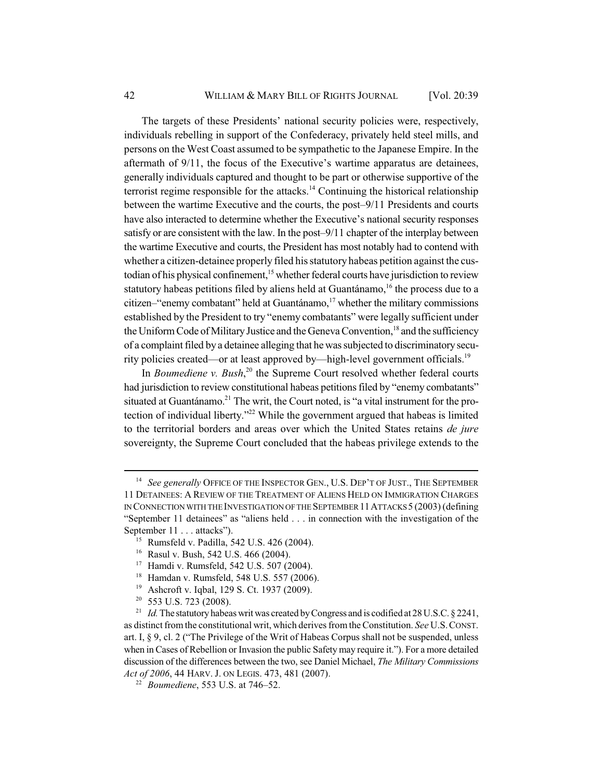The targets of these Presidents' national security policies were, respectively, individuals rebelling in support of the Confederacy, privately held steel mills, and persons on the West Coast assumed to be sympathetic to the Japanese Empire. In the aftermath of 9/11, the focus of the Executive's wartime apparatus are detainees, generally individuals captured and thought to be part or otherwise supportive of the terrorist regime responsible for the attacks.<sup>14</sup> Continuing the historical relationship between the wartime Executive and the courts, the post–9/11 Presidents and courts have also interacted to determine whether the Executive's national security responses satisfy or are consistent with the law. In the post–9/11 chapter of the interplay between the wartime Executive and courts, the President has most notably had to contend with whether a citizen-detainee properly filed his statutory habeas petition against the custodian of his physical confinement,<sup>15</sup> whether federal courts have jurisdiction to review statutory habeas petitions filed by aliens held at Guantánamo, <sup>16</sup> the process due to a citizen–"enemy combatant" held at Guantánamo, $17$  whether the military commissions established by the President to try "enemy combatants" were legally sufficient under the Uniform Code of Military Justice and the Geneva Convention,<sup>18</sup> and the sufficiency of a complaint filed by a detainee alleging that he was subjected to discriminatory security policies created—or at least approved by—high-level government officials.19

In *Boumediene v. Bush*,<sup>20</sup> the Supreme Court resolved whether federal courts had jurisdiction to review constitutional habeas petitions filed by "enemy combatants" situated at Guantánamo.<sup>21</sup> The writ, the Court noted, is "a vital instrument for the protection of individual liberty."22 While the government argued that habeas is limited to the territorial borders and areas over which the United States retains *de jure* sovereignty, the Supreme Court concluded that the habeas privilege extends to the

<sup>&</sup>lt;sup>14</sup> See generally OFFICE OF THE INSPECTOR GEN., U.S. DEP'T OF JUST., THE SEPTEMBER 11 DETAINEES: A REVIEW OF THE TREATMENT OF ALIENS HELD ON IMMIGRATION CHARGES IN CONNECTION WITH THE INVESTIGATION OF THE SEPTEMBER 11ATTACKS 5 (2003) (defining "September 11 detainees" as "aliens held . . . in connection with the investigation of the September 11 . . . attacks").

<sup>15</sup> Rumsfeld v. Padilla, 542 U.S. 426 (2004).

<sup>16</sup> Rasul v. Bush, 542 U.S. 466 (2004).

<sup>17</sup> Hamdi v. Rumsfeld, 542 U.S. 507 (2004).

<sup>&</sup>lt;sup>18</sup> Hamdan v. Rumsfeld, 548 U.S. 557 (2006).<br><sup>19</sup> Asheroft v. Johal 129 S. Ct. 1937 (2009).

<sup>&</sup>lt;sup>19</sup> Ashcroft v. Iqbal, 129 S. Ct. 1937 (2009).<br><sup>20</sup> 553 U.S. 723 (2008).

<sup>553</sup> U.S. 723 (2008).

<sup>&</sup>lt;sup>21</sup> *Id.* The statutory habeas writ was created by Congress and is codified at 28 U.S.C. § 2241, as distinct from the constitutional writ, which derives from the Constitution. *See* U.S.CONST. art. I, § 9, cl. 2 ("The Privilege of the Writ of Habeas Corpus shall not be suspended, unless when in Cases of Rebellion or Invasion the public Safety may require it."). For a more detailed discussion of the differences between the two, see Daniel Michael, *The Military Commissions Act of 2006*, 44 HARV. J. ON LEGIS. 473, 481 (2007).

<sup>22</sup> *Boumediene*, 553 U.S. at 746–52.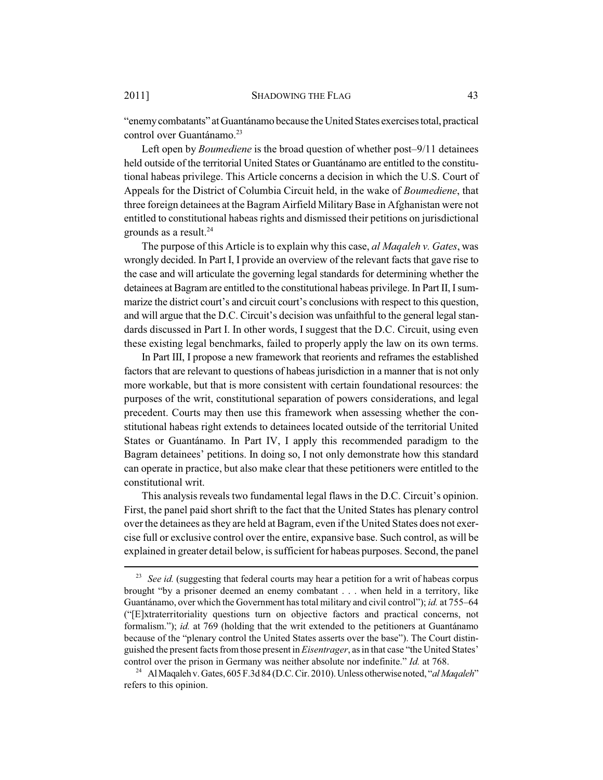"enemy combatants" at Guantánamo because the United States exercises total, practical control over Guantánamo.<sup>23</sup>

Left open by *Boumediene* is the broad question of whether post–9/11 detainees held outside of the territorial United States or Guantánamo are entitled to the constitutional habeas privilege. This Article concerns a decision in which the U.S. Court of Appeals for the District of Columbia Circuit held, in the wake of *Boumediene*, that three foreign detainees at the Bagram Airfield Military Base in Afghanistan were not entitled to constitutional habeas rights and dismissed their petitions on jurisdictional grounds as a result. $^{24}$ 

The purpose of this Article is to explain why this case, *al Maqaleh v. Gates*, was wrongly decided. In Part I, I provide an overview of the relevant facts that gave rise to the case and will articulate the governing legal standards for determining whether the detainees at Bagram are entitled to the constitutional habeas privilege. In Part II, I summarize the district court's and circuit court's conclusions with respect to this question, and will argue that the D.C. Circuit's decision was unfaithful to the general legal standards discussed in Part I. In other words, I suggest that the D.C. Circuit, using even these existing legal benchmarks, failed to properly apply the law on its own terms.

In Part III, I propose a new framework that reorients and reframes the established factors that are relevant to questions of habeas jurisdiction in a manner that is not only more workable, but that is more consistent with certain foundational resources: the purposes of the writ, constitutional separation of powers considerations, and legal precedent. Courts may then use this framework when assessing whether the constitutional habeas right extends to detainees located outside of the territorial United States or Guantánamo. In Part IV, I apply this recommended paradigm to the Bagram detainees' petitions. In doing so, I not only demonstrate how this standard can operate in practice, but also make clear that these petitioners were entitled to the constitutional writ.

This analysis reveals two fundamental legal flaws in the D.C. Circuit's opinion. First, the panel paid short shrift to the fact that the United States has plenary control over the detainees as they are held at Bagram, even if the United States does not exercise full or exclusive control over the entire, expansive base. Such control, as will be explained in greater detail below, is sufficient for habeas purposes. Second, the panel

<sup>&</sup>lt;sup>23</sup> *See id.* (suggesting that federal courts may hear a petition for a writ of habeas corpus brought "by a prisoner deemed an enemy combatant . . . when held in a territory, like Guantánamo, over which the Government has total military and civil control"); *id.* at 755–64 ("[E]xtraterritoriality questions turn on objective factors and practical concerns, not formalism."); *id.* at 769 (holding that the writ extended to the petitioners at Guantánamo because of the "plenary control the United States asserts over the base"). The Court distinguished the present facts from those present in *Eisentrager*, as in that case "the United States' control over the prison in Germany was neither absolute nor indefinite." *Id.* at 768.

<sup>24</sup> Al Maqaleh v. Gates, 605 F.3d 84 (D.C. Cir. 2010). Unless otherwise noted, "*al Maqaleh*" refers to this opinion.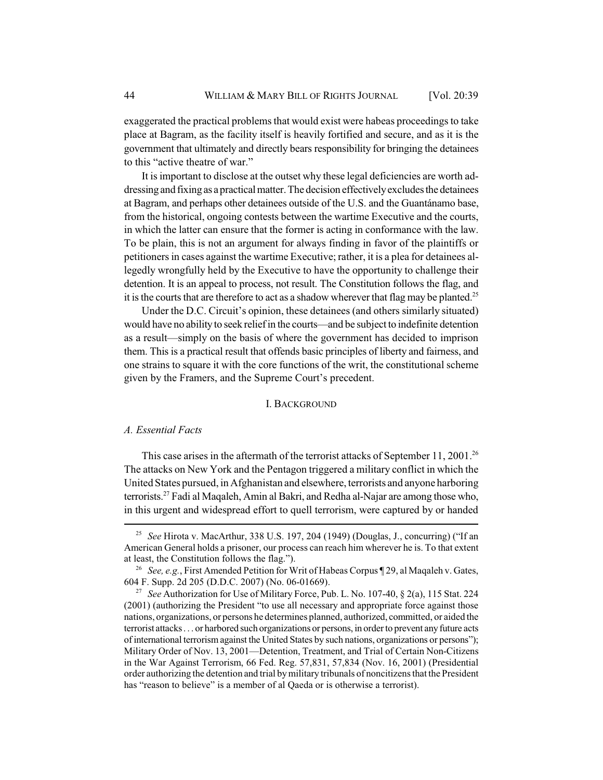exaggerated the practical problems that would exist were habeas proceedings to take place at Bagram, as the facility itself is heavily fortified and secure, and as it is the government that ultimately and directly bears responsibility for bringing the detainees to this "active theatre of war."

It is important to disclose at the outset why these legal deficiencies are worth addressing and fixing as a practical matter. The decision effectively excludes the detainees at Bagram, and perhaps other detainees outside of the U.S. and the Guantánamo base, from the historical, ongoing contests between the wartime Executive and the courts, in which the latter can ensure that the former is acting in conformance with the law. To be plain, this is not an argument for always finding in favor of the plaintiffs or petitioners in cases against the wartime Executive; rather, it is a plea for detainees allegedly wrongfully held by the Executive to have the opportunity to challenge their detention. It is an appeal to process, not result. The Constitution follows the flag, and it is the courts that are therefore to act as a shadow wherever that flag may be planted.<sup>25</sup>

Under the D.C. Circuit's opinion, these detainees (and others similarly situated) would have no ability to seek relief in the courts—and be subject to indefinite detention as a result—simply on the basis of where the government has decided to imprison them. This is a practical result that offends basic principles of liberty and fairness, and one strains to square it with the core functions of the writ, the constitutional scheme given by the Framers, and the Supreme Court's precedent.

# I. BACKGROUND

## *A. Essential Facts*

This case arises in the aftermath of the terrorist attacks of September 11, 2001.<sup>26</sup> The attacks on New York and the Pentagon triggered a military conflict in which the United States pursued, in Afghanistan and elsewhere, terrorists and anyone harboring terrorists.27 Fadi al Maqaleh, Amin al Bakri, and Redha al-Najar are among those who, in this urgent and widespread effort to quell terrorism, were captured by or handed

<sup>25</sup> *See* Hirota v. MacArthur, 338 U.S. 197, 204 (1949) (Douglas, J., concurring) ("If an American General holds a prisoner, our process can reach him wherever he is. To that extent at least, the Constitution follows the flag.").

<sup>26</sup> *See, e.g.*, First Amended Petition for Writ of Habeas Corpus ¶ 29, al Maqaleh v. Gates, 604 F. Supp. 2d 205 (D.D.C. 2007) (No. 06-01669).

<sup>27</sup> *See* Authorization for Use of Military Force, Pub. L. No. 107-40, § 2(a), 115 Stat. 224 (2001) (authorizing the President "to use all necessary and appropriate force against those nations, organizations, or persons he determines planned, authorized, committed, or aided the terrorist attacks . . . or harbored such organizations or persons, in order to prevent any future acts of international terrorism against the United States by such nations, organizations or persons"); Military Order of Nov. 13, 2001—Detention, Treatment, and Trial of Certain Non-Citizens in the War Against Terrorism, 66 Fed. Reg. 57,831, 57,834 (Nov. 16, 2001) (Presidential order authorizing the detention and trial by military tribunals of noncitizens that the President has "reason to believe" is a member of al Qaeda or is otherwise a terrorist).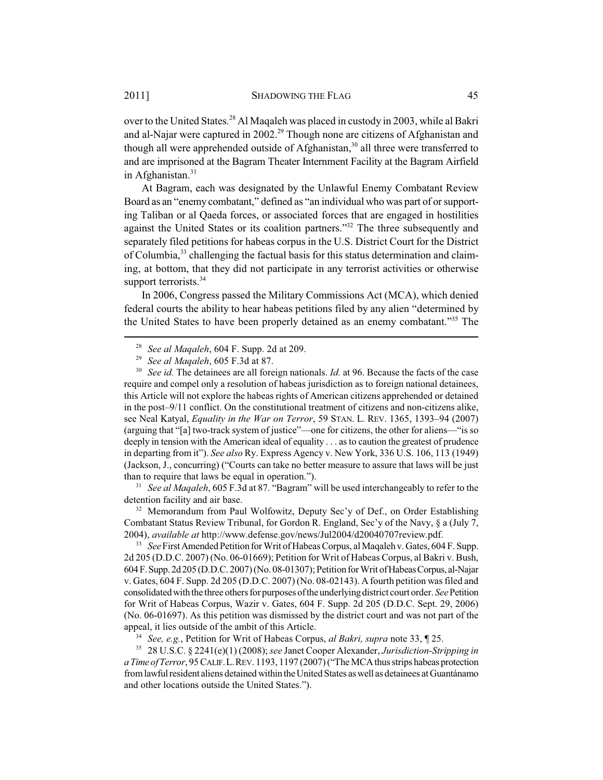over to the United States.<sup>28</sup> Al Maqaleh was placed in custody in 2003, while al Bakri and al-Najar were captured in 2002.<sup>29</sup> Though none are citizens of Afghanistan and though all were apprehended outside of Afghanistan.<sup>30</sup> all three were transferred to and are imprisoned at the Bagram Theater Internment Facility at the Bagram Airfield in Afghanistan. $31$ 

At Bagram, each was designated by the Unlawful Enemy Combatant Review Board as an "enemy combatant," defined as "an individual who was part of or supporting Taliban or al Qaeda forces, or associated forces that are engaged in hostilities against the United States or its coalition partners."32 The three subsequently and separately filed petitions for habeas corpus in the U.S. District Court for the District of Columbia,33 challenging the factual basis for this status determination and claiming, at bottom, that they did not participate in any terrorist activities or otherwise support terrorists.<sup>34</sup>

In 2006, Congress passed the Military Commissions Act (MCA), which denied federal courts the ability to hear habeas petitions filed by any alien "determined by the United States to have been properly detained as an enemy combatant."35 The

<sup>31</sup> *See al Maqaleh*, 605 F.3d at 87. "Bagram" will be used interchangeably to refer to the detention facility and air base.

 $32$  Memorandum from Paul Wolfowitz, Deputy Sec'y of Def., on Order Establishing Combatant Status Review Tribunal, for Gordon R. England, Sec'y of the Navy, § a (July 7, 2004), *available at* http://www.defense.gov/news/Jul2004/d20040707review.pdf.

<sup>33</sup> *See* First Amended Petition for Writ of Habeas Corpus, al Maqaleh v. Gates, 604 F. Supp. 2d 205 (D.D.C. 2007) (No. 06-01669); Petition for Writ of Habeas Corpus, al Bakri v. Bush, 604 F. Supp. 2d 205 (D.D.C. 2007) (No. 08-01307); Petition for Writ of Habeas Corpus, al-Najar v. Gates, 604 F. Supp. 2d 205 (D.D.C. 2007) (No. 08-02143). A fourth petition was filed and consolidated with the three others for purposes of the underlying district court order. *See* Petition for Writ of Habeas Corpus, Wazir v. Gates, 604 F. Supp. 2d 205 (D.D.C. Sept. 29, 2006) (No. 06-01697). As this petition was dismissed by the district court and was not part of the appeal, it lies outside of the ambit of this Article.

<sup>34</sup> *See, e.g.*, Petition for Writ of Habeas Corpus, *al Bakri, supra* note 33, ¶ 25.

<sup>35</sup> 28 U.S.C. § 2241(e)(1) (2008); *see* Janet Cooper Alexander, *Jurisdiction-Stripping in a Time of Terror*, 95 CALIF.L.REV. 1193, 1197 (2007) ("The MCA thus strips habeas protection from lawful resident aliens detained within the United States as well as detainees at Guantánamo and other locations outside the United States.").

<sup>28</sup> *See al Maqaleh*, 604 F. Supp. 2d at 209.

<sup>29</sup> *See al Maqaleh*, 605 F.3d at 87.

<sup>30</sup> *See id.* The detainees are all foreign nationals. *Id.* at 96. Because the facts of the case require and compel only a resolution of habeas jurisdiction as to foreign national detainees, this Article will not explore the habeas rights of American citizens apprehended or detained in the post–9/11 conflict. On the constitutional treatment of citizens and non-citizens alike, see Neal Katyal, *Equality in the War on Terror*, 59 STAN. L. REV. 1365, 1393–94 (2007) (arguing that "[a] two-track system of justice"—one for citizens, the other for aliens—"is so deeply in tension with the American ideal of equality . . . as to caution the greatest of prudence in departing from it"). *See also* Ry. Express Agency v. New York, 336 U.S. 106, 113 (1949) (Jackson, J., concurring) ("Courts can take no better measure to assure that laws will be just than to require that laws be equal in operation.").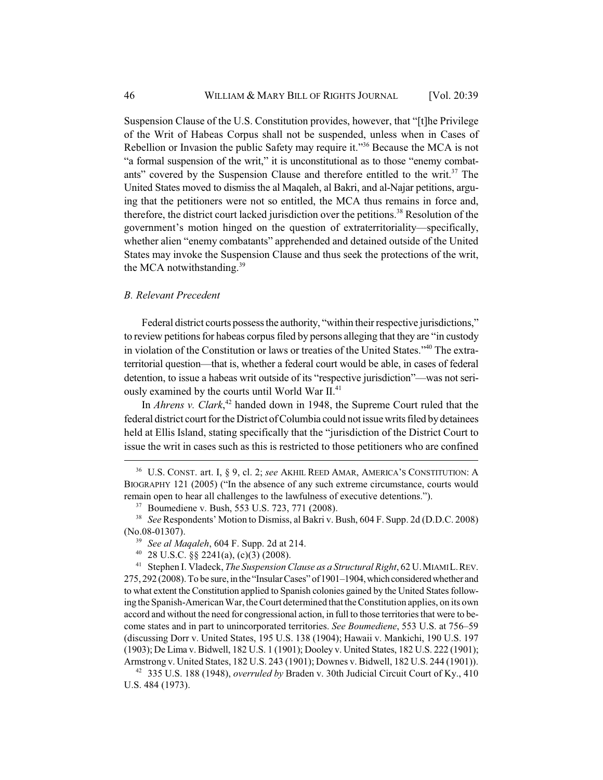Suspension Clause of the U.S. Constitution provides, however, that "[t]he Privilege of the Writ of Habeas Corpus shall not be suspended, unless when in Cases of Rebellion or Invasion the public Safety may require it."36 Because the MCA is not "a formal suspension of the writ," it is unconstitutional as to those "enemy combatants" covered by the Suspension Clause and therefore entitled to the writ.<sup>37</sup> The United States moved to dismiss the al Maqaleh, al Bakri, and al-Najar petitions, arguing that the petitioners were not so entitled, the MCA thus remains in force and, therefore, the district court lacked jurisdiction over the petitions.<sup>38</sup> Resolution of the government's motion hinged on the question of extraterritoriality—specifically, whether alien "enemy combatants" apprehended and detained outside of the United States may invoke the Suspension Clause and thus seek the protections of the writ, the MCA notwithstanding.<sup>39</sup>

# *B. Relevant Precedent*

Federal district courts possess the authority, "within their respective jurisdictions," to review petitions for habeas corpus filed by persons alleging that they are "in custody in violation of the Constitution or laws or treaties of the United States."40 The extraterritorial question—that is, whether a federal court would be able, in cases of federal detention, to issue a habeas writ outside of its "respective jurisdiction"—was not seriously examined by the courts until World War II.<sup>41</sup>

In *Ahrens v. Clark*, 42 handed down in 1948, the Supreme Court ruled that the federal district court for the District of Columbia could not issue writs filed by detainees held at Ellis Island, stating specifically that the "jurisdiction of the District Court to issue the writ in cases such as this is restricted to those petitioners who are confined

<sup>41</sup> Stephen I. Vladeck, *The Suspension Clause as a Structural Right*, 62 U. MIAMIL. REV. 275, 292 (2008). To be sure, in the "Insular Cases" of 1901–1904, which considered whether and to what extent the Constitution applied to Spanish colonies gained by the United States following the Spanish-American War, the Court determined that the Constitution applies, on its own accord and without the need for congressional action, in full to those territories that were to become states and in part to unincorporated territories. *See Boumediene*, 553 U.S. at 756–59 (discussing Dorr v. United States, 195 U.S. 138 (1904); Hawaii v. Mankichi, 190 U.S. 197 (1903); De Lima v. Bidwell, 182 U.S. 1 (1901); Dooley v. United States, 182 U.S. 222 (1901); Armstrong v. United States, 182 U.S. 243 (1901); Downes v. Bidwell, 182 U.S. 244 (1901)).

<sup>42</sup> 335 U.S. 188 (1948), *overruled by* Braden v. 30th Judicial Circuit Court of Ky., 410 U.S. 484 (1973).

<sup>36</sup> U.S. CONST. art. I, § 9, cl. 2; *see* AKHIL REED AMAR, AMERICA'S CONSTITUTION: A BIOGRAPHY 121 (2005) ("In the absence of any such extreme circumstance, courts would remain open to hear all challenges to the lawfulness of executive detentions.").

<sup>37</sup> Boumediene v. Bush, 553 U.S. 723, 771 (2008).

<sup>38</sup> *See* Respondents' Motion to Dismiss, al Bakri v. Bush, 604 F. Supp. 2d (D.D.C. 2008) (No.08-01307).

<sup>39</sup> *See al Maqaleh*, 604 F. Supp. 2d at 214.

 $40\,$  28 U.S.C. §§ 2241(a), (c)(3) (2008).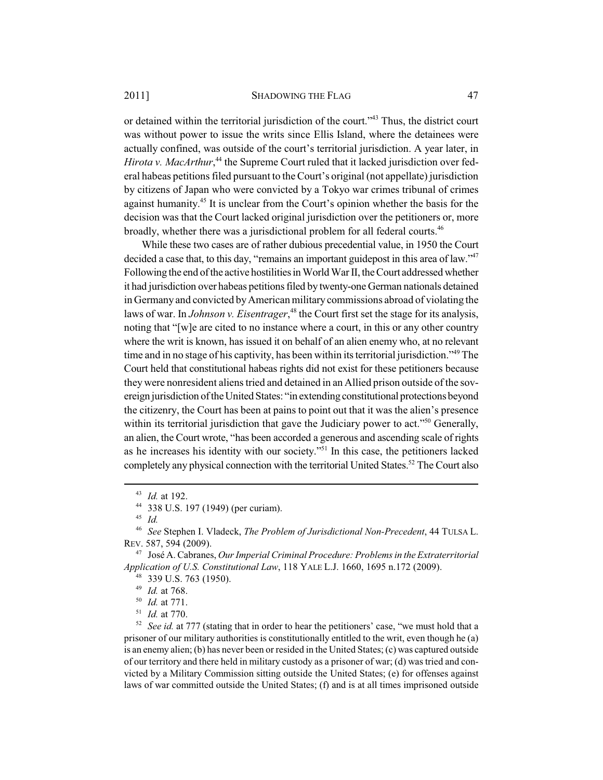#### 2011] SHADOWING THE FLAG 47

or detained within the territorial jurisdiction of the court.<sup>343</sup> Thus, the district court was without power to issue the writs since Ellis Island, where the detainees were actually confined, was outside of the court's territorial jurisdiction. A year later, in Hirota v. MacArthur,<sup>44</sup> the Supreme Court ruled that it lacked jurisdiction over federal habeas petitions filed pursuant to the Court's original (not appellate) jurisdiction by citizens of Japan who were convicted by a Tokyo war crimes tribunal of crimes against humanity.<sup>45</sup> It is unclear from the Court's opinion whether the basis for the decision was that the Court lacked original jurisdiction over the petitioners or, more broadly, whether there was a jurisdictional problem for all federal courts.<sup>46</sup>

While these two cases are of rather dubious precedential value, in 1950 the Court decided a case that, to this day, "remains an important guidepost in this area of law."<sup>47</sup> Following the end of the active hostilities in World War II, the Court addressed whether it had jurisdiction over habeas petitions filed by twenty-one German nationals detained in Germany and convicted by American military commissions abroad of violating the laws of war. In *Johnson v. Eisentrager*, 48 the Court first set the stage for its analysis, noting that "[w]e are cited to no instance where a court, in this or any other country where the writ is known, has issued it on behalf of an alien enemy who, at no relevant time and in no stage of his captivity, has been within its territorial jurisdiction."<sup>49</sup> The Court held that constitutional habeas rights did not exist for these petitioners because they were nonresident aliens tried and detained in an Allied prison outside of the sovereign jurisdiction of the United States: "in extending constitutional protections beyond the citizenry, the Court has been at pains to point out that it was the alien's presence within its territorial jurisdiction that gave the Judiciary power to act."<sup>50</sup> Generally, an alien, the Court wrote, "has been accorded a generous and ascending scale of rights as he increases his identity with our society."51 In this case, the petitioners lacked completely any physical connection with the territorial United States.<sup>52</sup> The Court also

<sup>51</sup> *Id.* at 770.

<sup>52</sup> *See id.* at 777 (stating that in order to hear the petitioners' case, "we must hold that a prisoner of our military authorities is constitutionally entitled to the writ, even though he (a) is an enemy alien; (b) has never been or resided in the United States; (c) was captured outside of our territory and there held in military custody as a prisoner of war; (d) was tried and convicted by a Military Commission sitting outside the United States; (e) for offenses against laws of war committed outside the United States; (f) and is at all times imprisoned outside

<sup>43</sup> *Id.* at 192.

<sup>44</sup> 338 U.S. 197 (1949) (per curiam).

<sup>45</sup> *Id.*

<sup>46</sup> *See* Stephen I. Vladeck, *The Problem of Jurisdictional Non-Precedent*, 44 TULSA L. REV. 587, 594 (2009).

<sup>47</sup> José A. Cabranes, *Our Imperial Criminal Procedure: Problems in the Extraterritorial Application of U.S. Constitutional Law*, 118 YALE L.J. 1660, 1695 n.172 (2009).

<sup>48</sup> 339 U.S. 763 (1950). <sup>49</sup> *Id.* at 768.

<sup>50</sup> *Id.* at 771.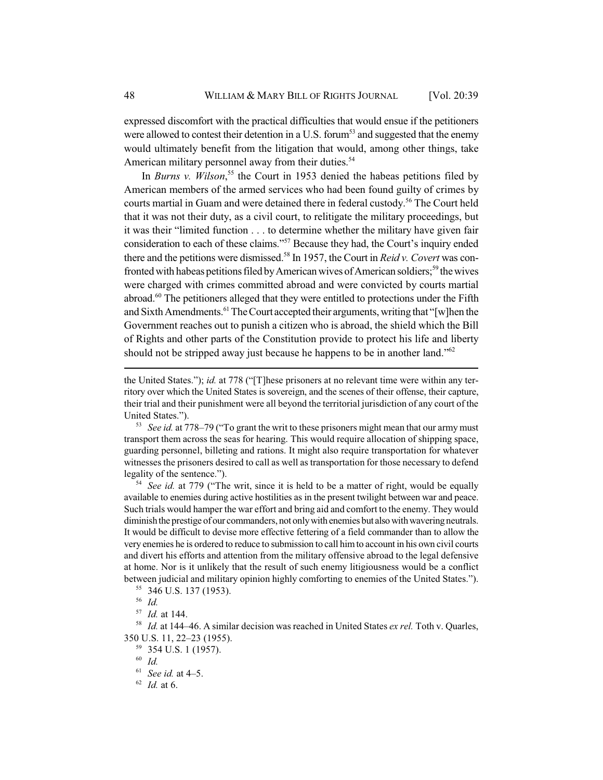expressed discomfort with the practical difficulties that would ensue if the petitioners were allowed to contest their detention in a U.S. forum<sup>53</sup> and suggested that the enemy would ultimately benefit from the litigation that would, among other things, take American military personnel away from their duties.<sup>54</sup>

In *Burns v. Wilson*, 55 the Court in 1953 denied the habeas petitions filed by American members of the armed services who had been found guilty of crimes by courts martial in Guam and were detained there in federal custody.<sup>56</sup> The Court held that it was not their duty, as a civil court, to relitigate the military proceedings, but it was their "limited function . . . to determine whether the military have given fair consideration to each of these claims."57 Because they had, the Court's inquiry ended there and the petitions were dismissed.58 In 1957, the Court in *Reid v. Covert* was confronted with habeas petitions filed by American wives of American soldiers;<sup>59</sup> the wives were charged with crimes committed abroad and were convicted by courts martial abroad.<sup>60</sup> The petitioners alleged that they were entitled to protections under the Fifth and Sixth Amendments.<sup>61</sup> The Court accepted their arguments, writing that "[w]hen the Government reaches out to punish a citizen who is abroad, the shield which the Bill of Rights and other parts of the Constitution provide to protect his life and liberty should not be stripped away just because he happens to be in another land."<sup>62</sup>

<sup>53</sup> *See id.* at 778–79 ("To grant the writ to these prisoners might mean that our army must transport them across the seas for hearing. This would require allocation of shipping space, guarding personnel, billeting and rations. It might also require transportation for whatever witnesses the prisoners desired to call as well as transportation for those necessary to defend legality of the sentence.").

<sup>54</sup> *See id.* at 779 ("The writ, since it is held to be a matter of right, would be equally available to enemies during active hostilities as in the present twilight between war and peace. Such trials would hamper the war effort and bring aid and comfort to the enemy. They would diminish the prestige of our commanders, not only with enemies but also with wavering neutrals. It would be difficult to devise more effective fettering of a field commander than to allow the very enemies he is ordered to reduce to submission to call him to account in his own civil courts and divert his efforts and attention from the military offensive abroad to the legal defensive at home. Nor is it unlikely that the result of such enemy litigiousness would be a conflict between judicial and military opinion highly comforting to enemies of the United States.").

<sup>55</sup> 346 U.S. 137 (1953).

<sup>56</sup> *Id.*

<sup>62</sup> *Id.* at 6.

the United States."); *id.* at 778 ("[T]hese prisoners at no relevant time were within any territory over which the United States is sovereign, and the scenes of their offense, their capture, their trial and their punishment were all beyond the territorial jurisdiction of any court of the United States.").

<sup>57</sup> *Id.* at 144.

<sup>58</sup> *Id.* at 144–46. A similar decision was reached in United States *ex rel.* Toth v. Quarles, 350 U.S. 11, 22–23 (1955).

<sup>59</sup> 354 U.S. 1 (1957).

<sup>60</sup> *Id.*

<sup>61</sup> *See id.* at 4–5.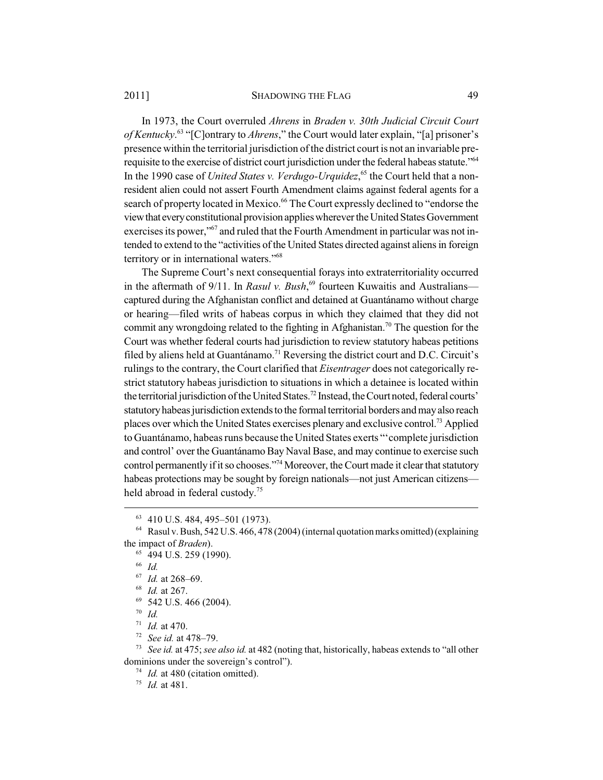#### 2011] SHADOWING THE FLAG 49

In 1973, the Court overruled *Ahrens* in *Braden v. 30th Judicial Circuit Court of Kentucky*. 63 "[C]ontrary to *Ahrens*," the Court would later explain, "[a] prisoner's presence within the territorial jurisdiction of the district court is not an invariable prerequisite to the exercise of district court jurisdiction under the federal habeas statute."<sup>64</sup> In the 1990 case of *United States v. Verdugo-Urquidez*, 65 the Court held that a nonresident alien could not assert Fourth Amendment claims against federal agents for a search of property located in Mexico.<sup>66</sup> The Court expressly declined to "endorse the view that every constitutional provision applies wherever the United States Government exercises its power,"<sup>67</sup> and ruled that the Fourth Amendment in particular was not intended to extend to the "activities of the United States directed against aliens in foreign territory or in international waters."68

The Supreme Court's next consequential forays into extraterritoriality occurred in the aftermath of 9/11. In *Rasul v. Bush*<sup>69</sup> fourteen Kuwaitis and Australians captured during the Afghanistan conflict and detained at Guantánamo without charge or hearing—filed writs of habeas corpus in which they claimed that they did not commit any wrongdoing related to the fighting in Afghanistan.<sup>70</sup> The question for the Court was whether federal courts had jurisdiction to review statutory habeas petitions filed by aliens held at Guantánamo.<sup>71</sup> Reversing the district court and D.C. Circuit's rulings to the contrary, the Court clarified that *Eisentrager* does not categorically restrict statutory habeas jurisdiction to situations in which a detainee is located within the territorial jurisdiction of the United States.<sup>72</sup> Instead, the Court noted, federal courts' statutory habeas jurisdiction extends to the formal territorial borders and may also reach places over which the United States exercises plenary and exclusive control.73 Applied to Guantánamo, habeas runs because the United States exerts "'complete jurisdiction and control' over the Guantánamo Bay Naval Base, and may continue to exercise such control permanently if it so chooses."<sup>74</sup> Moreover, the Court made it clear that statutory habeas protections may be sought by foreign nationals—not just American citizens held abroad in federal custody.<sup>75</sup>

<sup>72</sup> *See id.* at 478–79.

<sup>75</sup> *Id.* at 481.

<sup>63</sup> 410 U.S. 484, 495–501 (1973).

<sup>64</sup> Rasul v. Bush, 542 U.S. 466, 478 (2004) (internal quotation marks omitted) (explaining the impact of *Braden*).

<sup>65</sup> 494 U.S. 259 (1990).

<sup>66</sup> *Id.*

<sup>67</sup> *Id.* at 268–69.

<sup>68</sup> *Id.* at 267.

<sup>69</sup> 542 U.S. 466 (2004).

<sup>70</sup> *Id.*

<sup>71</sup> *Id.* at 470.

<sup>73</sup> *See id.* at 475; *see also id.* at 482 (noting that, historically, habeas extends to "all other dominions under the sovereign's control").

<sup>74</sup> *Id.* at 480 (citation omitted).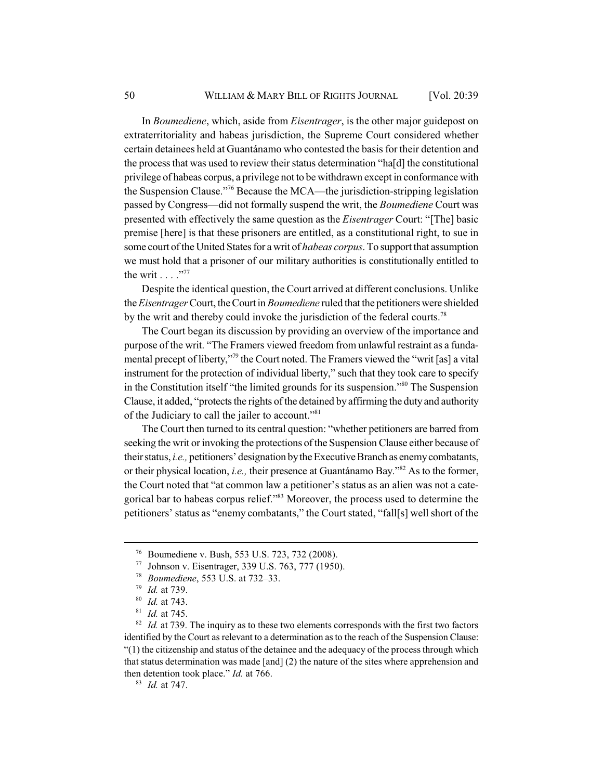In *Boumediene*, which, aside from *Eisentrager*, is the other major guidepost on extraterritoriality and habeas jurisdiction, the Supreme Court considered whether certain detainees held at Guantánamo who contested the basis for their detention and the process that was used to review their status determination "ha[d] the constitutional privilege of habeas corpus, a privilege not to be withdrawn except in conformance with the Suspension Clause."76 Because the MCA—the jurisdiction-stripping legislation passed by Congress—did not formally suspend the writ, the *Boumediene* Court was presented with effectively the same question as the *Eisentrager* Court: "[The] basic premise [here] is that these prisoners are entitled, as a constitutional right, to sue in some court of the United States for a writ of *habeas corpus*. To support that assumption we must hold that a prisoner of our military authorities is constitutionally entitled to the writ  $\ldots$ ."77

Despite the identical question, the Court arrived at different conclusions. Unlike the *Eisentrager* Court, the Court in *Boumediene* ruled that the petitioners were shielded by the writ and thereby could invoke the jurisdiction of the federal courts.<sup>78</sup>

The Court began its discussion by providing an overview of the importance and purpose of the writ. "The Framers viewed freedom from unlawful restraint as a fundamental precept of liberty,"79 the Court noted. The Framers viewed the "writ [as] a vital instrument for the protection of individual liberty," such that they took care to specify in the Constitution itself "the limited grounds for its suspension."80 The Suspension Clause, it added, "protects the rights of the detained by affirming the duty and authority of the Judiciary to call the jailer to account."<sup>81</sup>

The Court then turned to its central question: "whether petitioners are barred from seeking the writ or invoking the protections of the Suspension Clause either because of their status, *i.e.,* petitioners' designation by the Executive Branch as enemy combatants, or their physical location, *i.e.*, their presence at Guantánamo Bay."<sup>82</sup> As to the former, the Court noted that "at common law a petitioner's status as an alien was not a categorical bar to habeas corpus relief."83 Moreover, the process used to determine the petitioners' status as "enemy combatants," the Court stated, "fall[s] well short of the

<sup>83</sup> *Id.* at 747.

<sup>76</sup> Boumediene v. Bush, 553 U.S. 723, 732 (2008).

<sup>77</sup> Johnson v. Eisentrager, 339 U.S. 763, 777 (1950).

<sup>78</sup> *Boumediene*, 553 U.S. at 732–33.

<sup>79</sup> *Id.* at 739.

<sup>80</sup> *Id.* at 743.

<sup>81</sup> *Id.* at 745.

<sup>&</sup>lt;sup>82</sup> *Id.* at 739. The inquiry as to these two elements corresponds with the first two factors identified by the Court as relevant to a determination as to the reach of the Suspension Clause: "(1) the citizenship and status of the detainee and the adequacy of the process through which that status determination was made [and] (2) the nature of the sites where apprehension and then detention took place." *Id.* at 766.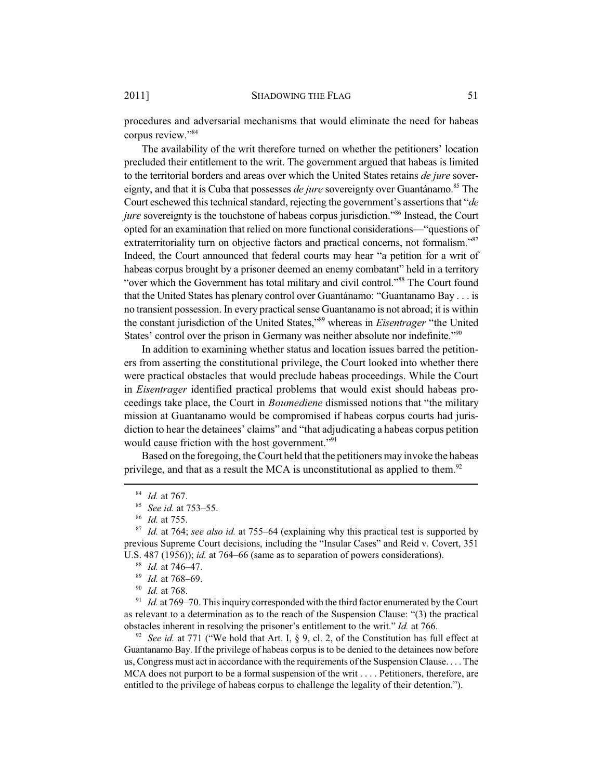procedures and adversarial mechanisms that would eliminate the need for habeas corpus review."<sup>84</sup>

The availability of the writ therefore turned on whether the petitioners' location precluded their entitlement to the writ. The government argued that habeas is limited to the territorial borders and areas over which the United States retains *de jure* sovereignty, and that it is Cuba that possesses *de jure* sovereignty over Guantánamo.<sup>85</sup> The Court eschewed this technical standard, rejecting the government's assertions that "*de jure* sovereignty is the touchstone of habeas corpus jurisdiction."<sup>86</sup> Instead, the Court opted for an examination that relied on more functional considerations—"questions of extraterritoriality turn on objective factors and practical concerns, not formalism."<sup>87</sup> Indeed, the Court announced that federal courts may hear "a petition for a writ of habeas corpus brought by a prisoner deemed an enemy combatant" held in a territory "over which the Government has total military and civil control."88 The Court found that the United States has plenary control over Guantánamo: "Guantanamo Bay . . . is no transient possession. In every practical sense Guantanamo is not abroad; it is within the constant jurisdiction of the United States,"89 whereas in *Eisentrager* "the United States' control over the prison in Germany was neither absolute nor indefinite."<sup>90</sup>

In addition to examining whether status and location issues barred the petitioners from asserting the constitutional privilege, the Court looked into whether there were practical obstacles that would preclude habeas proceedings. While the Court in *Eisentrager* identified practical problems that would exist should habeas proceedings take place, the Court in *Boumediene* dismissed notions that "the military mission at Guantanamo would be compromised if habeas corpus courts had jurisdiction to hear the detainees' claims" and "that adjudicating a habeas corpus petition would cause friction with the host government."<sup>91</sup>

Based on the foregoing, the Court held that the petitioners may invoke the habeas privilege, and that as a result the MCA is unconstitutional as applied to them.<sup>92</sup>

<sup>90</sup> *Id.* at 768.

<sup>91</sup> *Id.* at 769–70. This inquiry corresponded with the third factor enumerated by the Court as relevant to a determination as to the reach of the Suspension Clause: "(3) the practical obstacles inherent in resolving the prisoner's entitlement to the writ." *Id.* at 766.

<sup>92</sup> *See id.* at 771 ("We hold that Art. I, § 9, cl. 2, of the Constitution has full effect at Guantanamo Bay. If the privilege of habeas corpus is to be denied to the detainees now before us, Congress must act in accordance with the requirements of the Suspension Clause. . . . The MCA does not purport to be a formal suspension of the writ . . . . Petitioners, therefore, are entitled to the privilege of habeas corpus to challenge the legality of their detention.").

<sup>84</sup> *Id.* at 767.

<sup>85</sup> *See id.* at 753–55.

<sup>86</sup> *Id.* at 755.

<sup>87</sup> *Id.* at 764; *see also id.* at 755–64 (explaining why this practical test is supported by previous Supreme Court decisions, including the "Insular Cases" and Reid v. Covert, 351 U.S. 487 (1956)); *id.* at 764–66 (same as to separation of powers considerations).

<sup>88</sup> *Id.* at 746–47.

<sup>89</sup> *Id.* at 768–69.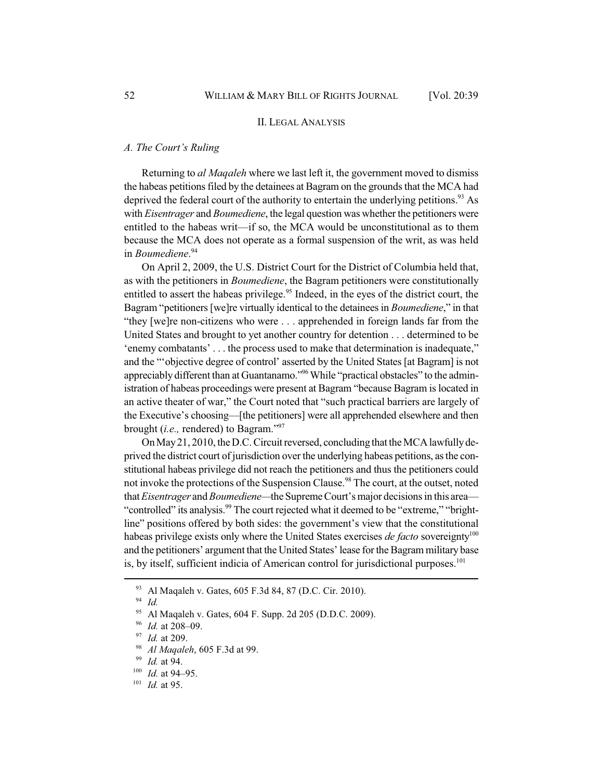### II. LEGAL ANALYSIS

# *A. The Court's Ruling*

Returning to *al Maqaleh* where we last left it, the government moved to dismiss the habeas petitions filed by the detainees at Bagram on the grounds that the MCA had deprived the federal court of the authority to entertain the underlying petitions.<sup>93</sup> As with *Eisentrager* and *Boumediene*, the legal question was whether the petitioners were entitled to the habeas writ—if so, the MCA would be unconstitutional as to them because the MCA does not operate as a formal suspension of the writ, as was held in *Boumediene*. 94

On April 2, 2009, the U.S. District Court for the District of Columbia held that, as with the petitioners in *Boumediene*, the Bagram petitioners were constitutionally entitled to assert the habeas privilege.<sup>95</sup> Indeed, in the eyes of the district court, the Bagram "petitioners [we]re virtually identical to the detainees in *Boumediene*," in that "they [we]re non-citizens who were . . . apprehended in foreign lands far from the United States and brought to yet another country for detention . . . determined to be 'enemy combatants' . . . the process used to make that determination is inadequate," and the "'objective degree of control' asserted by the United States [at Bagram] is not appreciably different than at Guantanamo."<sup>96</sup> While "practical obstacles" to the administration of habeas proceedings were present at Bagram "because Bagram is located in an active theater of war," the Court noted that "such practical barriers are largely of the Executive's choosing—[the petitioners] were all apprehended elsewhere and then brought (*i.e.,* rendered) to Bagram."97

On May 21, 2010, the D.C. Circuit reversed, concluding that the MCA lawfully deprived the district court of jurisdiction over the underlying habeas petitions, as the constitutional habeas privilege did not reach the petitioners and thus the petitioners could not invoke the protections of the Suspension Clause.<sup>98</sup> The court, at the outset, noted that *Eisentrager* and *Boumediene—*the Supreme Court's major decisions in this area— "controlled" its analysis.<sup>99</sup> The court rejected what it deemed to be "extreme," "brightline" positions offered by both sides: the government's view that the constitutional habeas privilege exists only where the United States exercises *de facto* sovereignty<sup>100</sup> and the petitioners' argument that the United States' lease for the Bagram military base is, by itself, sufficient indicia of American control for jurisdictional purposes.<sup>101</sup>

<sup>93</sup> Al Maqaleh v. Gates, 605 F.3d 84, 87 (D.C. Cir. 2010).

<sup>94</sup> *Id.*

<sup>95</sup> Al Maqaleh v. Gates, 604 F. Supp. 2d 205 (D.D.C. 2009).

<sup>96</sup> *Id.* at 208–09.

<sup>97</sup> *Id.* at 209.

<sup>98</sup> *Al Maqaleh*, 605 F.3d at 99.

<sup>99</sup> *Id.* at 94.

<sup>100</sup> *Id.* at 94–95.

<sup>101</sup> *Id.* at 95.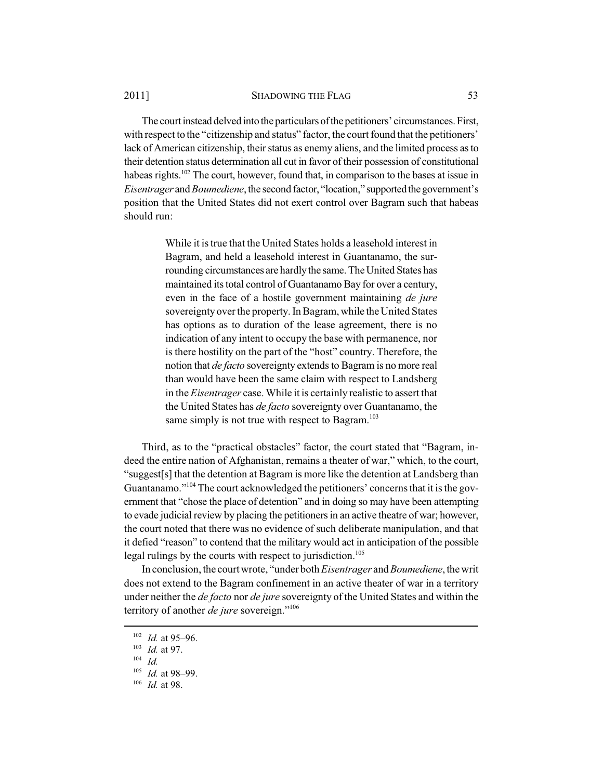The court instead delved into the particulars of the petitioners' circumstances. First, with respect to the "citizenship and status" factor, the court found that the petitioners' lack of American citizenship, their status as enemy aliens, and the limited process as to their detention status determination all cut in favor of their possession of constitutional habeas rights.<sup>102</sup> The court, however, found that, in comparison to the bases at issue in *Eisentrager* and *Boumediene*, the second factor, "location," supported the government's position that the United States did not exert control over Bagram such that habeas should run:

> While it is true that the United States holds a leasehold interest in Bagram, and held a leasehold interest in Guantanamo, the surrounding circumstances are hardly the same. The United States has maintained its total control of Guantanamo Bay for over a century, even in the face of a hostile government maintaining *de jure* sovereignty over the property. In Bagram, while the United States has options as to duration of the lease agreement, there is no indication of any intent to occupy the base with permanence, nor is there hostility on the part of the "host" country. Therefore, the notion that *de facto* sovereignty extends to Bagram is no more real than would have been the same claim with respect to Landsberg in the *Eisentrager* case. While it is certainly realistic to assert that the United States has *de facto* sovereignty over Guantanamo, the same simply is not true with respect to Bagram.<sup>103</sup>

Third, as to the "practical obstacles" factor, the court stated that "Bagram, indeed the entire nation of Afghanistan, remains a theater of war," which, to the court, "suggest[s] that the detention at Bagram is more like the detention at Landsberg than Guantanamo."104 The court acknowledged the petitioners' concerns that it is the government that "chose the place of detention" and in doing so may have been attempting to evade judicial review by placing the petitioners in an active theatre of war; however, the court noted that there was no evidence of such deliberate manipulation, and that it defied "reason" to contend that the military would act in anticipation of the possible legal rulings by the courts with respect to jurisdiction.<sup>105</sup>

In conclusion, the court wrote, "under both *Eisentrager* and *Boumediene*, the writ does not extend to the Bagram confinement in an active theater of war in a territory under neither the *de facto* nor *de jure* sovereignty of the United States and within the territory of another *de jure* sovereign."106

<sup>102</sup> *Id.* at 95–96.

<sup>103</sup> *Id.* at 97.

<sup>104</sup> *Id.*

<sup>105</sup> *Id.* at 98–99.

<sup>106</sup> *Id.* at 98.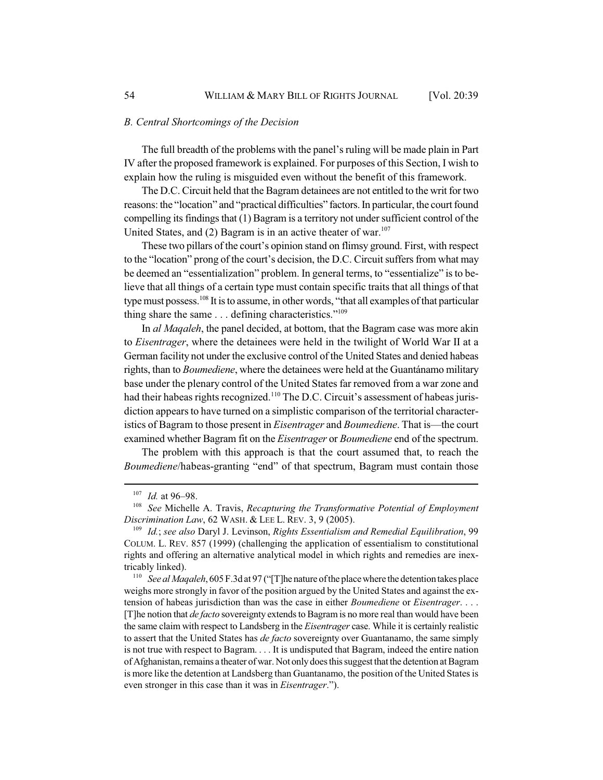#### *B. Central Shortcomings of the Decision*

The full breadth of the problems with the panel's ruling will be made plain in Part IV after the proposed framework is explained. For purposes of this Section, I wish to explain how the ruling is misguided even without the benefit of this framework.

The D.C. Circuit held that the Bagram detainees are not entitled to the writ for two reasons: the "location" and "practical difficulties" factors. In particular, the court found compelling its findings that (1) Bagram is a territory not under sufficient control of the United States, and (2) Bagram is in an active theater of war.<sup>107</sup>

These two pillars of the court's opinion stand on flimsy ground. First, with respect to the "location" prong of the court's decision, the D.C. Circuit suffers from what may be deemed an "essentialization" problem. In general terms, to "essentialize" is to believe that all things of a certain type must contain specific traits that all things of that type must possess.<sup>108</sup> It is to assume, in other words, "that all examples of that particular thing share the same  $\dots$  defining characteristics."<sup>109</sup>

In *al Maqaleh*, the panel decided, at bottom, that the Bagram case was more akin to *Eisentrager*, where the detainees were held in the twilight of World War II at a German facility not under the exclusive control of the United States and denied habeas rights, than to *Boumediene*, where the detainees were held at the Guantánamo military base under the plenary control of the United States far removed from a war zone and had their habeas rights recognized.<sup>110</sup> The D.C. Circuit's assessment of habeas jurisdiction appears to have turned on a simplistic comparison of the territorial characteristics of Bagram to those present in *Eisentrager* and *Boumediene*. That is—the court examined whether Bagram fit on the *Eisentrager* or *Boumediene* end of the spectrum.

The problem with this approach is that the court assumed that, to reach the *Boumediene*/habeas-granting "end" of that spectrum, Bagram must contain those

<sup>107</sup> *Id.* at 96–98.

<sup>108</sup> *See* Michelle A. Travis, *Recapturing the Transformative Potential of Employment Discrimination Law*, 62 WASH. & LEE L. REV. 3, 9 (2005).

<sup>109</sup> *Id.*; *see also* Daryl J. Levinson, *Rights Essentialism and Remedial Equilibration*, 99 COLUM. L. REV. 857 (1999) (challenging the application of essentialism to constitutional rights and offering an alternative analytical model in which rights and remedies are inextricably linked).

<sup>110</sup> *See al Maqaleh*, 605 F.3d at 97 ("[T]he nature of the place where the detention takes place weighs more strongly in favor of the position argued by the United States and against the extension of habeas jurisdiction than was the case in either *Boumediene* or *Eisentrager*. . . . [T]he notion that *de facto* sovereignty extends to Bagram is no more real than would have been the same claim with respect to Landsberg in the *Eisentrager* case. While it is certainly realistic to assert that the United States has *de facto* sovereignty over Guantanamo, the same simply is not true with respect to Bagram. . . . It is undisputed that Bagram, indeed the entire nation of Afghanistan, remains a theater of war. Not only does this suggest that the detention at Bagram is more like the detention at Landsberg than Guantanamo, the position of the United States is even stronger in this case than it was in *Eisentrager*.").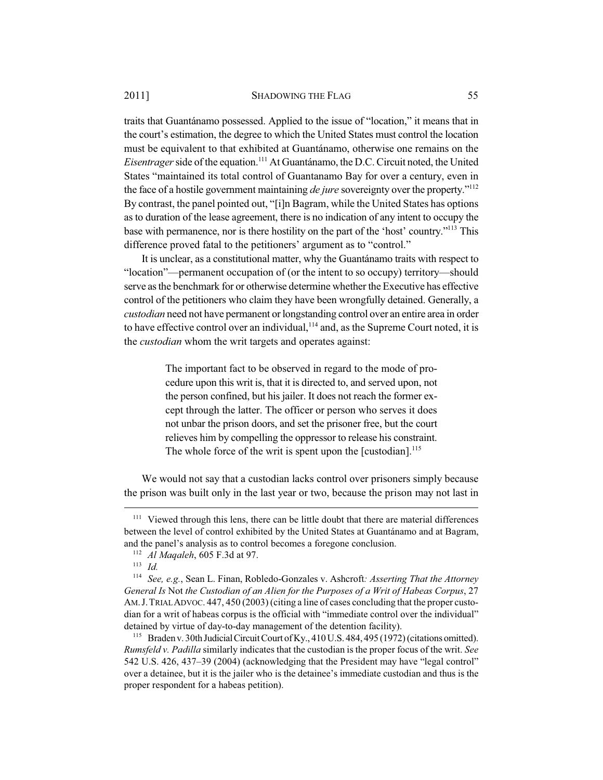#### 2011] **SHADOWING THE FLAG** 55

traits that Guantánamo possessed. Applied to the issue of "location," it means that in the court's estimation, the degree to which the United States must control the location must be equivalent to that exhibited at Guantánamo, otherwise one remains on the *Eisentrager* side of the equation.<sup>111</sup> At Guantánamo, the D.C. Circuit noted, the United States "maintained its total control of Guantanamo Bay for over a century, even in the face of a hostile government maintaining *de jure* sovereignty over the property."112 By contrast, the panel pointed out, "[i]n Bagram, while the United States has options as to duration of the lease agreement, there is no indication of any intent to occupy the base with permanence, nor is there hostility on the part of the 'host' country."113 This difference proved fatal to the petitioners' argument as to "control."

It is unclear, as a constitutional matter, why the Guantánamo traits with respect to "location"—permanent occupation of (or the intent to so occupy) territory—should serve as the benchmark for or otherwise determine whether the Executive has effective control of the petitioners who claim they have been wrongfully detained. Generally, a *custodian* need not have permanent or longstanding control over an entire area in order to have effective control over an individual,  $114$  and, as the Supreme Court noted, it is the *custodian* whom the writ targets and operates against:

> The important fact to be observed in regard to the mode of procedure upon this writ is, that it is directed to, and served upon, not the person confined, but his jailer. It does not reach the former except through the latter. The officer or person who serves it does not unbar the prison doors, and set the prisoner free, but the court relieves him by compelling the oppressor to release his constraint. The whole force of the writ is spent upon the  $[{\rm custodian}]$ .<sup>115</sup>

We would not say that a custodian lacks control over prisoners simply because the prison was built only in the last year or two, because the prison may not last in

<sup>&</sup>lt;sup>111</sup> Viewed through this lens, there can be little doubt that there are material differences between the level of control exhibited by the United States at Guantánamo and at Bagram, and the panel's analysis as to control becomes a foregone conclusion.

<sup>112</sup> *Al Maqaleh*, 605 F.3d at 97.

<sup>113</sup> *Id.*

<sup>114</sup> *See, e.g.*, Sean L. Finan, Robledo-Gonzales v. Ashcroft*: Asserting That the Attorney General Is* Not *the Custodian of an Alien for the Purposes of a Writ of Habeas Corpus*, 27 AM.J.TRIAL ADVOC. 447, 450 (2003) (citing a line of cases concluding that the proper custodian for a writ of habeas corpus is the official with "immediate control over the individual" detained by virtue of day-to-day management of the detention facility).

<sup>&</sup>lt;sup>115</sup> Braden v. 30th Judicial Circuit Court of Ky., 410 U.S. 484, 495 (1972) (citations omitted). *Rumsfeld v. Padilla* similarly indicates that the custodian is the proper focus of the writ. *See* 542 U.S. 426, 437–39 (2004) (acknowledging that the President may have "legal control" over a detainee, but it is the jailer who is the detainee's immediate custodian and thus is the proper respondent for a habeas petition).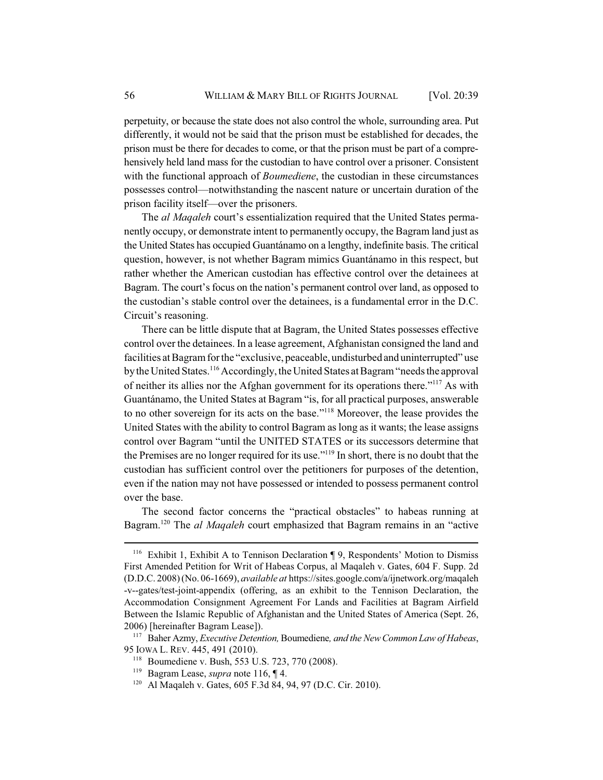perpetuity, or because the state does not also control the whole, surrounding area. Put differently, it would not be said that the prison must be established for decades, the prison must be there for decades to come, or that the prison must be part of a comprehensively held land mass for the custodian to have control over a prisoner. Consistent with the functional approach of *Boumediene*, the custodian in these circumstances possesses control—notwithstanding the nascent nature or uncertain duration of the prison facility itself—over the prisoners.

The *al Maqaleh* court's essentialization required that the United States permanently occupy, or demonstrate intent to permanently occupy, the Bagram land just as the United States has occupied Guantánamo on a lengthy, indefinite basis. The critical question, however, is not whether Bagram mimics Guantánamo in this respect, but rather whether the American custodian has effective control over the detainees at Bagram. The court's focus on the nation's permanent control over land, as opposed to the custodian's stable control over the detainees, is a fundamental error in the D.C. Circuit's reasoning.

There can be little dispute that at Bagram, the United States possesses effective control over the detainees. In a lease agreement, Afghanistan consigned the land and facilities at Bagram for the "exclusive, peaceable, undisturbed and uninterrupted" use by the United States.116 Accordingly, the United States at Bagram "needs the approval of neither its allies nor the Afghan government for its operations there."117 As with Guantánamo, the United States at Bagram "is, for all practical purposes, answerable to no other sovereign for its acts on the base."118 Moreover, the lease provides the United States with the ability to control Bagram as long as it wants; the lease assigns control over Bagram "until the UNITED STATES or its successors determine that the Premises are no longer required for its use."119 In short, there is no doubt that the custodian has sufficient control over the petitioners for purposes of the detention, even if the nation may not have possessed or intended to possess permanent control over the base.

The second factor concerns the "practical obstacles" to habeas running at Bagram.120 The *al Maqaleh* court emphasized that Bagram remains in an "active

<sup>&</sup>lt;sup>116</sup> Exhibit 1, Exhibit A to Tennison Declaration ¶ 9, Respondents' Motion to Dismiss First Amended Petition for Writ of Habeas Corpus, al Maqaleh v. Gates, 604 F. Supp. 2d (D.D.C. 2008) (No. 06-1669), *available at* https://sites.google.com/a/ijnetwork.org/maqaleh -v--gates/test-joint-appendix (offering, as an exhibit to the Tennison Declaration, the Accommodation Consignment Agreement For Lands and Facilities at Bagram Airfield Between the Islamic Republic of Afghanistan and the United States of America (Sept. 26, 2006) [hereinafter Bagram Lease]).

<sup>117</sup> Baher Azmy, *Executive Detention,* Boumediene*, and the New Common Law of Habeas*, 95 IOWA L. REV. 445, 491 (2010).

<sup>118</sup> Boumediene v. Bush, 553 U.S. 723, 770 (2008).

<sup>119</sup> Bagram Lease, *supra* note 116, ¶ 4.

<sup>120</sup> Al Maqaleh v. Gates, 605 F.3d 84, 94, 97 (D.C. Cir. 2010).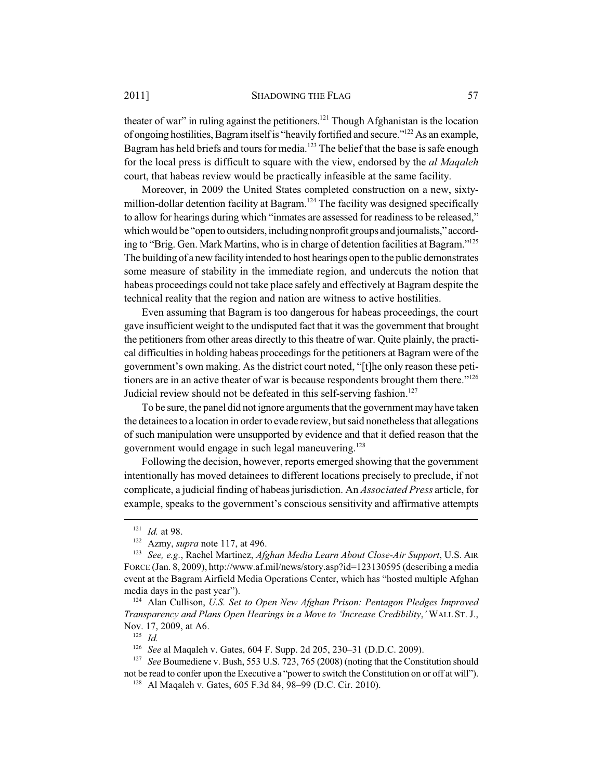theater of war" in ruling against the petitioners.<sup>121</sup> Though Afghanistan is the location of ongoing hostilities, Bagram itself is "heavily fortified and secure."122 As an example, Bagram has held briefs and tours for media.<sup>123</sup> The belief that the base is safe enough for the local press is difficult to square with the view, endorsed by the *al Maqaleh* court, that habeas review would be practically infeasible at the same facility.

Moreover, in 2009 the United States completed construction on a new, sixtymillion-dollar detention facility at Bagram.124 The facility was designed specifically to allow for hearings during which "inmates are assessed for readiness to be released," which would be "open to outsiders, including nonprofit groups and journalists," according to "Brig. Gen. Mark Martins, who is in charge of detention facilities at Bagram."125 The building of a new facility intended to host hearings open to the public demonstrates some measure of stability in the immediate region, and undercuts the notion that habeas proceedings could not take place safely and effectively at Bagram despite the technical reality that the region and nation are witness to active hostilities.

Even assuming that Bagram is too dangerous for habeas proceedings, the court gave insufficient weight to the undisputed fact that it was the government that brought the petitioners from other areas directly to this theatre of war. Quite plainly, the practical difficulties in holding habeas proceedings for the petitioners at Bagram were of the government's own making. As the district court noted, "[t]he only reason these petitioners are in an active theater of war is because respondents brought them there."<sup>126</sup> Judicial review should not be defeated in this self-serving fashion.<sup>127</sup>

To be sure, the panel did not ignore arguments that the government may have taken the detainees to a location in order to evade review, but said nonetheless that allegations of such manipulation were unsupported by evidence and that it defied reason that the government would engage in such legal maneuvering.128

Following the decision, however, reports emerged showing that the government intentionally has moved detainees to different locations precisely to preclude, if not complicate, a judicial finding of habeas jurisdiction. An *Associated Press* article, for example, speaks to the government's conscious sensitivity and affirmative attempts

<sup>124</sup> Alan Cullison, *U.S. Set to Open New Afghan Prison: Pentagon Pledges Improved Transparency and Plans Open Hearings in a Move to 'Increase Credibility*,*'* WALL ST. J., Nov. 17, 2009, at A6.

<sup>125</sup> *Id.*

<sup>121</sup> *Id.* at 98.

<sup>122</sup> Azmy, *supra* note 117, at 496.

<sup>123</sup> *See, e.g.*, Rachel Martinez, *Afghan Media Learn About Close-Air Support*, U.S. AIR FORCE (Jan. 8, 2009), http://www.af.mil/news/story.asp?id=123130595 (describing a media event at the Bagram Airfield Media Operations Center, which has "hosted multiple Afghan media days in the past year").

<sup>126</sup> *See* al Maqaleh v. Gates, 604 F. Supp. 2d 205, 230–31 (D.D.C. 2009).

<sup>&</sup>lt;sup>127</sup> *See* Boumediene v. Bush, 553 U.S. 723, 765 (2008) (noting that the Constitution should not be read to confer upon the Executive a "power to switch the Constitution on or off at will").

<sup>128</sup> Al Maqaleh v. Gates, 605 F.3d 84, 98–99 (D.C. Cir. 2010).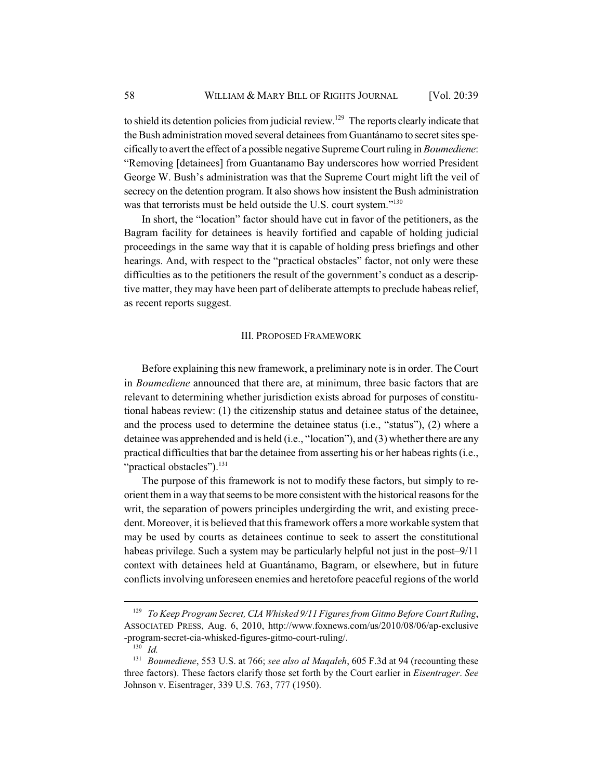to shield its detention policies from judicial review.<sup>129</sup> The reports clearly indicate that the Bush administration moved several detainees from Guantánamo to secret sites specifically to avert the effect of a possible negative Supreme Court ruling in *Boumediene*: "Removing [detainees] from Guantanamo Bay underscores how worried President George W. Bush's administration was that the Supreme Court might lift the veil of secrecy on the detention program. It also shows how insistent the Bush administration was that terrorists must be held outside the U.S. court system."<sup>130</sup>

In short, the "location" factor should have cut in favor of the petitioners, as the Bagram facility for detainees is heavily fortified and capable of holding judicial proceedings in the same way that it is capable of holding press briefings and other hearings. And, with respect to the "practical obstacles" factor, not only were these difficulties as to the petitioners the result of the government's conduct as a descriptive matter, they may have been part of deliberate attempts to preclude habeas relief, as recent reports suggest.

# III. PROPOSED FRAMEWORK

Before explaining this new framework, a preliminary note is in order. The Court in *Boumediene* announced that there are, at minimum, three basic factors that are relevant to determining whether jurisdiction exists abroad for purposes of constitutional habeas review: (1) the citizenship status and detainee status of the detainee, and the process used to determine the detainee status (i.e., "status"), (2) where a detainee was apprehended and is held (i.e., "location"), and (3) whether there are any practical difficulties that bar the detainee from asserting his or her habeas rights (i.e., "practical obstacles").<sup>131</sup>

The purpose of this framework is not to modify these factors, but simply to reorient them in a way that seems to be more consistent with the historical reasons for the writ, the separation of powers principles undergirding the writ, and existing precedent. Moreover, it is believed that this framework offers a more workable system that may be used by courts as detainees continue to seek to assert the constitutional habeas privilege. Such a system may be particularly helpful not just in the post–9/11 context with detainees held at Guantánamo, Bagram, or elsewhere, but in future conflicts involving unforeseen enemies and heretofore peaceful regions of the world

<sup>129</sup> *To Keep Program Secret, CIA Whisked 9/11 Figures from Gitmo Before Court Ruling*, ASSOCIATED PRESS, Aug. 6, 2010, http://www.foxnews.com/us/2010/08/06/ap-exclusive -program-secret-cia-whisked-figures-gitmo-court-ruling/.

 $\frac{130}{131}$  *Id.* 

<sup>131</sup> *Boumediene*, 553 U.S. at 766; *see also al Maqaleh*, 605 F.3d at 94 (recounting these three factors). These factors clarify those set forth by the Court earlier in *Eisentrager*. *See* Johnson v. Eisentrager, 339 U.S. 763, 777 (1950).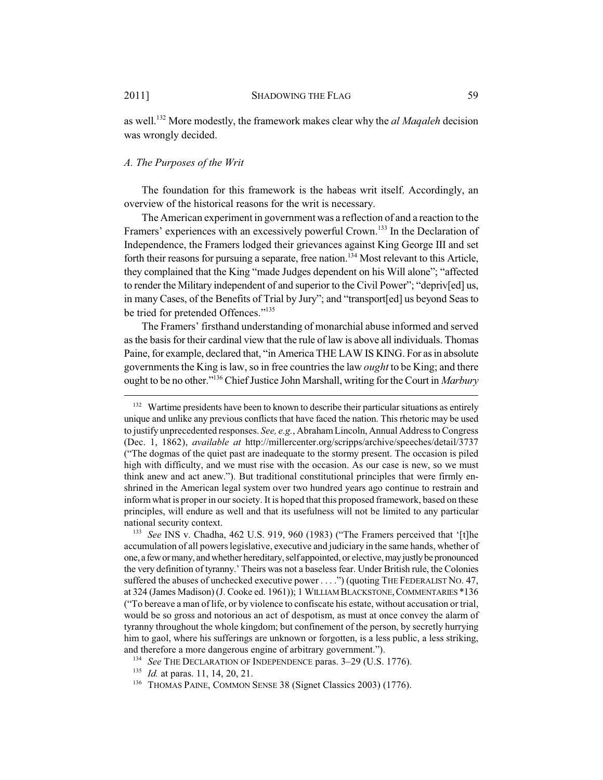as well.132 More modestly, the framework makes clear why the *al Maqaleh* decision was wrongly decided.

# *A. The Purposes of the Writ*

The foundation for this framework is the habeas writ itself. Accordingly, an overview of the historical reasons for the writ is necessary.

The American experiment in government was a reflection of and a reaction to the Framers' experiences with an excessively powerful Crown.<sup>133</sup> In the Declaration of Independence, the Framers lodged their grievances against King George III and set forth their reasons for pursuing a separate, free nation.<sup>134</sup> Most relevant to this Article, they complained that the King "made Judges dependent on his Will alone"; "affected to render the Military independent of and superior to the Civil Power"; "depriv[ed] us, in many Cases, of the Benefits of Trial by Jury"; and "transport[ed] us beyond Seas to be tried for pretended Offences."<sup>135</sup>

The Framers' firsthand understanding of monarchial abuse informed and served as the basis for their cardinal view that the rule of law is above all individuals. Thomas Paine, for example, declared that, "in America THE LAW IS KING. For as in absolute governments the King is law, so in free countries the law *ought* to be King; and there ought to be no other."136 Chief Justice John Marshall, writing for the Court in *Marbury*

<sup>&</sup>lt;sup>132</sup> Wartime presidents have been to known to describe their particular situations as entirely unique and unlike any previous conflicts that have faced the nation. This rhetoric may be used to justify unprecedented responses. *See, e.g.*, Abraham Lincoln, Annual Address to Congress (Dec. 1, 1862), *available at* http://millercenter.org/scripps/archive/speeches/detail/3737 ("The dogmas of the quiet past are inadequate to the stormy present. The occasion is piled high with difficulty, and we must rise with the occasion. As our case is new, so we must think anew and act anew."). But traditional constitutional principles that were firmly enshrined in the American legal system over two hundred years ago continue to restrain and inform what is proper in our society. It is hoped that this proposed framework, based on these principles, will endure as well and that its usefulness will not be limited to any particular national security context.

<sup>133</sup> *See* INS v. Chadha, 462 U.S. 919, 960 (1983) ("The Framers perceived that '[t]he accumulation of all powers legislative, executive and judiciary in the same hands, whether of one, a few or many, and whether hereditary, self appointed, or elective, may justly be pronounced the very definition of tyranny.' Theirs was not a baseless fear. Under British rule, the Colonies suffered the abuses of unchecked executive power . . . .") (quoting THE FEDERALIST NO. 47, at 324 (James Madison) (J. Cooke ed. 1961)); 1 WILLIAM BLACKSTONE,COMMENTARIES \*136 ("To bereave a man of life, or by violence to confiscate his estate, without accusation or trial, would be so gross and notorious an act of despotism, as must at once convey the alarm of tyranny throughout the whole kingdom; but confinement of the person, by secretly hurrying him to gaol, where his sufferings are unknown or forgotten, is a less public, a less striking, and therefore a more dangerous engine of arbitrary government.").

<sup>134</sup> *See* THE DECLARATION OF INDEPENDENCE paras. 3–29 (U.S. 1776).

<sup>135</sup> *Id.* at paras. 11, 14, 20, 21.

<sup>&</sup>lt;sup>136</sup> THOMAS PAINE, COMMON SENSE 38 (Signet Classics 2003) (1776).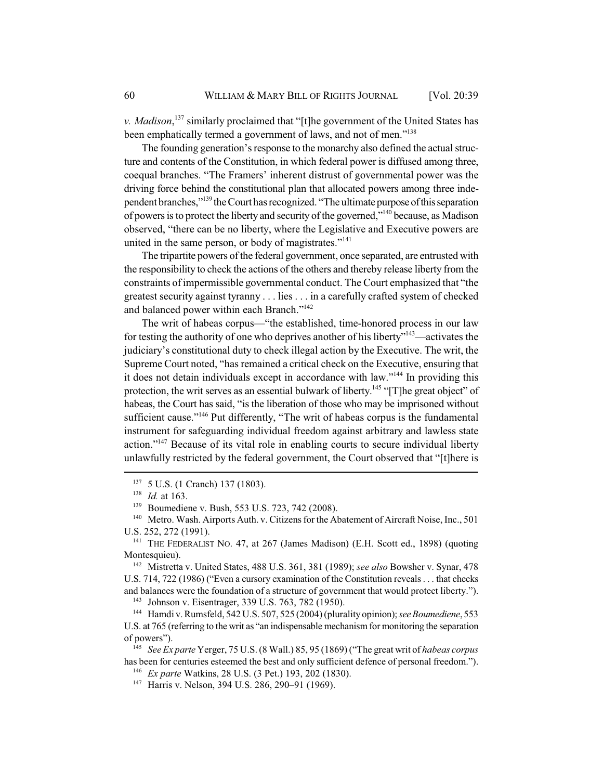*v. Madison*, 137 similarly proclaimed that "[t]he government of the United States has been emphatically termed a government of laws, and not of men."138

The founding generation's response to the monarchy also defined the actual structure and contents of the Constitution, in which federal power is diffused among three, coequal branches. "The Framers' inherent distrust of governmental power was the driving force behind the constitutional plan that allocated powers among three independent branches,"139 the Court has recognized. "The ultimate purpose of this separation of powers is to protect the liberty and security of the governed,"140 because, as Madison observed, "there can be no liberty, where the Legislative and Executive powers are united in the same person, or body of magistrates."<sup>141</sup>

The tripartite powers of the federal government, once separated, are entrusted with the responsibility to check the actions of the others and thereby release liberty from the constraints of impermissible governmental conduct. The Court emphasized that "the greatest security against tyranny . . . lies . . . in a carefully crafted system of checked and balanced power within each Branch."142

The writ of habeas corpus—"the established, time-honored process in our law for testing the authority of one who deprives another of his liberty"143—activates the judiciary's constitutional duty to check illegal action by the Executive. The writ, the Supreme Court noted, "has remained a critical check on the Executive, ensuring that it does not detain individuals except in accordance with law."144 In providing this protection, the writ serves as an essential bulwark of liberty.<sup>145</sup> "[T]he great object" of habeas, the Court has said, "is the liberation of those who may be imprisoned without sufficient cause."<sup>146</sup> Put differently, "The writ of habeas corpus is the fundamental instrument for safeguarding individual freedom against arbitrary and lawless state action."<sup>147</sup> Because of its vital role in enabling courts to secure individual liberty unlawfully restricted by the federal government, the Court observed that "[t]here is

<sup>139</sup> Boumediene v. Bush, 553 U.S. 723, 742 (2008).

<sup>143</sup> Johnson v. Eisentrager, 339 U.S. 763, 782 (1950).

<sup>144</sup> Hamdi v. Rumsfeld, 542 U.S. 507, 525 (2004) (plurality opinion); *seeBoumediene*, 553 U.S. at 765 (referring to the writ as "an indispensable mechanism for monitoring the separation of powers").

<sup>145</sup> *See Ex parte* Yerger, 75 U.S. (8 Wall.) 85, 95 (1869) ("The great writ of *habeas corpus* has been for centuries esteemed the best and only sufficient defence of personal freedom.").

<sup>146</sup> *Ex parte* Watkins, 28 U.S. (3 Pet.) 193, 202 (1830).

<sup>147</sup> Harris v. Nelson, 394 U.S. 286, 290–91 (1969).

<sup>137</sup> 5 U.S. (1 Cranch) 137 (1803).

<sup>138</sup> *Id.* at 163.

<sup>&</sup>lt;sup>140</sup> Metro. Wash. Airports Auth. v. Citizens for the Abatement of Aircraft Noise, Inc., 501 U.S. 252, 272 (1991).

<sup>&</sup>lt;sup>141</sup> THE FEDERALIST NO. 47, at 267 (James Madison) (E.H. Scott ed., 1898) (quoting Montesquieu).

<sup>142</sup> Mistretta v. United States, 488 U.S. 361, 381 (1989); *see also* Bowsher v. Synar, 478 U.S. 714, 722 (1986) ("Even a cursory examination of the Constitution reveals . . . that checks and balances were the foundation of a structure of government that would protect liberty.").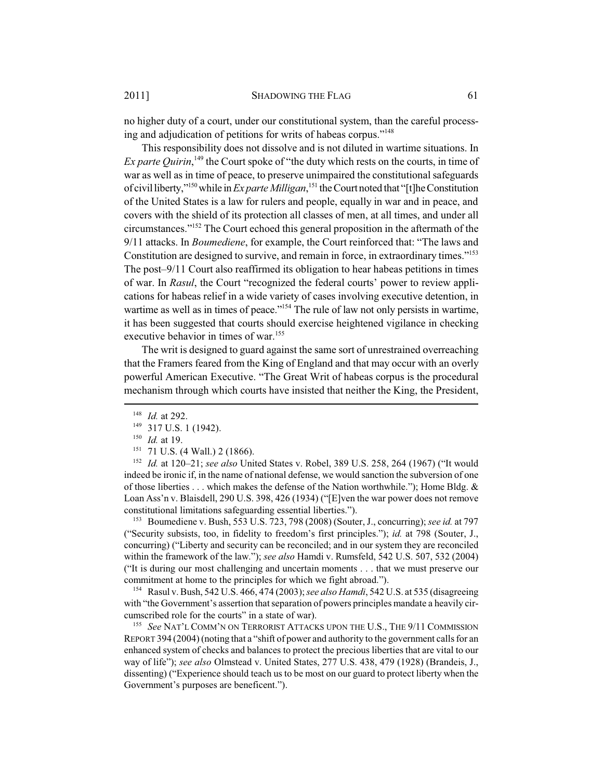no higher duty of a court, under our constitutional system, than the careful processing and adjudication of petitions for writs of habeas corpus."148

This responsibility does not dissolve and is not diluted in wartime situations. In *Ex parte Quirin*,<sup>149</sup> the Court spoke of "the duty which rests on the courts, in time of war as well as in time of peace, to preserve unimpaired the constitutional safeguards of civil liberty,"150 while in *Ex parte Milligan*, 151 the Court noted that "[t]he Constitution of the United States is a law for rulers and people, equally in war and in peace, and covers with the shield of its protection all classes of men, at all times, and under all circumstances."152 The Court echoed this general proposition in the aftermath of the 9/11 attacks. In *Boumediene*, for example, the Court reinforced that: "The laws and Constitution are designed to survive, and remain in force, in extraordinary times."153 The post–9/11 Court also reaffirmed its obligation to hear habeas petitions in times of war. In *Rasul*, the Court "recognized the federal courts' power to review applications for habeas relief in a wide variety of cases involving executive detention, in wartime as well as in times of peace."<sup>154</sup> The rule of law not only persists in wartime, it has been suggested that courts should exercise heightened vigilance in checking executive behavior in times of war.<sup>155</sup>

The writ is designed to guard against the same sort of unrestrained overreaching that the Framers feared from the King of England and that may occur with an overly powerful American Executive. "The Great Writ of habeas corpus is the procedural mechanism through which courts have insisted that neither the King, the President,

<sup>152</sup> *Id.* at 120–21; *see also* United States v. Robel, 389 U.S. 258, 264 (1967) ("It would indeed be ironic if, in the name of national defense, we would sanction the subversion of one of those liberties . . . which makes the defense of the Nation worthwhile."); Home Bldg. & Loan Ass'n v. Blaisdell, 290 U.S. 398, 426 (1934) ("[E]ven the war power does not remove constitutional limitations safeguarding essential liberties.").

<sup>153</sup> Boumediene v. Bush, 553 U.S. 723, 798 (2008) (Souter, J., concurring); *see id.* at 797 ("Security subsists, too, in fidelity to freedom's first principles."); *id.* at 798 (Souter, J., concurring) ("Liberty and security can be reconciled; and in our system they are reconciled within the framework of the law."); *see also* Hamdi v. Rumsfeld, 542 U.S. 507, 532 (2004) ("It is during our most challenging and uncertain moments . . . that we must preserve our commitment at home to the principles for which we fight abroad.").

<sup>154</sup> Rasul v. Bush, 542 U.S. 466, 474 (2003); *see also Hamdi*, 542 U.S. at 535 (disagreeing with "the Government's assertion that separation of powers principles mandate a heavily circumscribed role for the courts" in a state of war).

<sup>155</sup> *See* NAT'L COMM'N ON TERRORIST ATTACKS UPON THE U.S., THE 9/11 COMMISSION REPORT 394 (2004) (noting that a "shift of power and authority to the government calls for an enhanced system of checks and balances to protect the precious liberties that are vital to our way of life"); *see also* Olmstead v. United States, 277 U.S. 438, 479 (1928) (Brandeis, J., dissenting) ("Experience should teach us to be most on our guard to protect liberty when the Government's purposes are beneficent.").

<sup>148</sup> *Id.* at 292.

<sup>&</sup>lt;sup>149</sup> 317 U.S. 1 (1942).

<sup>150</sup> *Id.* at 19.

 $151$  71 U.S. (4 Wall.) 2 (1866).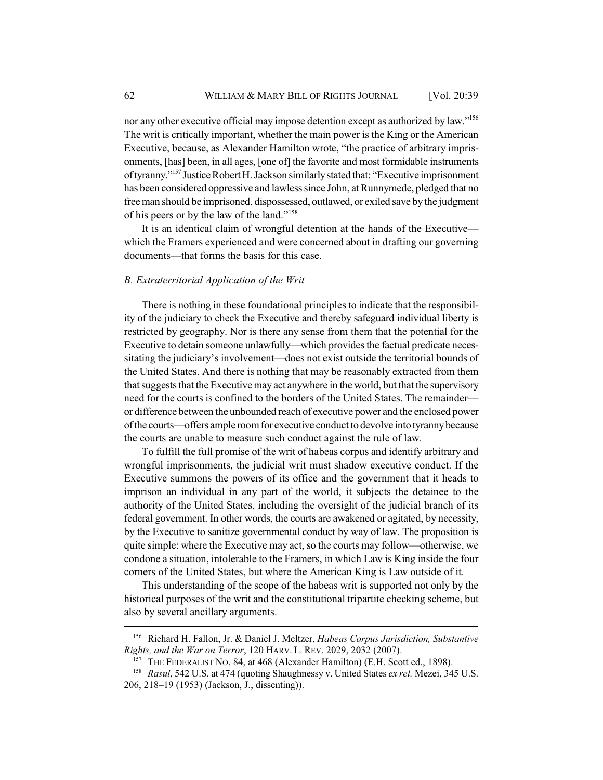nor any other executive official may impose detention except as authorized by law."156 The writ is critically important, whether the main power is the King or the American Executive, because, as Alexander Hamilton wrote, "the practice of arbitrary imprisonments, [has] been, in all ages, [one of] the favorite and most formidable instruments of tyranny."157 Justice Robert H. Jackson similarly stated that: "Executive imprisonment has been considered oppressive and lawless since John, at Runnymede, pledged that no free man should be imprisoned, dispossessed, outlawed, or exiled save by the judgment of his peers or by the law of the land."158

It is an identical claim of wrongful detention at the hands of the Executive which the Framers experienced and were concerned about in drafting our governing documents—that forms the basis for this case.

#### *B. Extraterritorial Application of the Writ*

There is nothing in these foundational principles to indicate that the responsibility of the judiciary to check the Executive and thereby safeguard individual liberty is restricted by geography. Nor is there any sense from them that the potential for the Executive to detain someone unlawfully—which provides the factual predicate necessitating the judiciary's involvement—does not exist outside the territorial bounds of the United States. And there is nothing that may be reasonably extracted from them that suggests that the Executive may act anywhere in the world, but that the supervisory need for the courts is confined to the borders of the United States. The remainder or difference between the unbounded reach of executive power and the enclosed power of the courts—offers ample room for executive conduct to devolve into tyranny because the courts are unable to measure such conduct against the rule of law.

To fulfill the full promise of the writ of habeas corpus and identify arbitrary and wrongful imprisonments, the judicial writ must shadow executive conduct. If the Executive summons the powers of its office and the government that it heads to imprison an individual in any part of the world, it subjects the detainee to the authority of the United States, including the oversight of the judicial branch of its federal government. In other words, the courts are awakened or agitated, by necessity, by the Executive to sanitize governmental conduct by way of law. The proposition is quite simple: where the Executive may act, so the courts may follow—otherwise, we condone a situation, intolerable to the Framers, in which Law is King inside the four corners of the United States, but where the American King is Law outside of it.

This understanding of the scope of the habeas writ is supported not only by the historical purposes of the writ and the constitutional tripartite checking scheme, but also by several ancillary arguments.

<sup>156</sup> Richard H. Fallon, Jr. & Daniel J. Meltzer, *Habeas Corpus Jurisdiction, Substantive Rights, and the War on Terror*, 120 HARV. L. REV. 2029, 2032 (2007).

<sup>&</sup>lt;sup>157</sup> THE FEDERALIST NO. 84, at 468 (Alexander Hamilton) (E.H. Scott ed., 1898).

<sup>158</sup> *Rasul*, 542 U.S. at 474 (quoting Shaughnessy v. United States *ex rel.* Mezei, 345 U.S. 206, 218–19 (1953) (Jackson, J., dissenting)).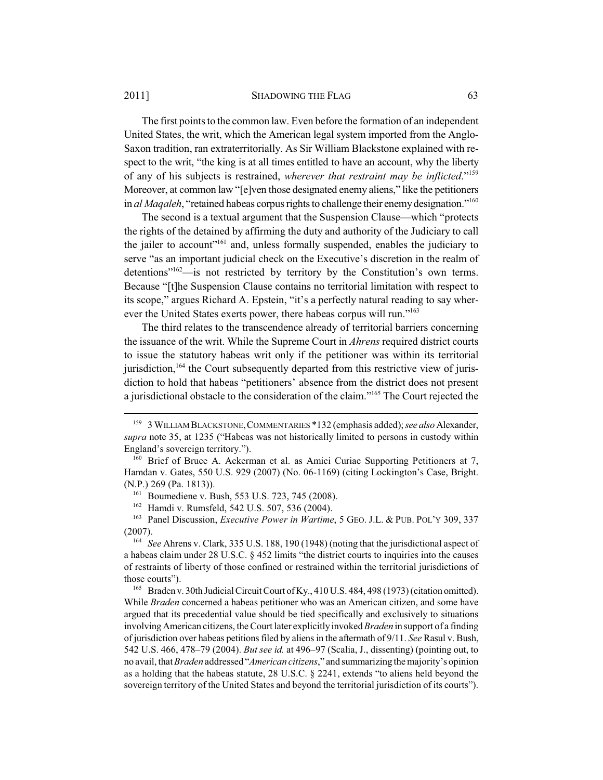#### 2011] SHADOWING THE FLAG 63

The first points to the common law. Even before the formation of an independent United States, the writ, which the American legal system imported from the Anglo-Saxon tradition, ran extraterritorially. As Sir William Blackstone explained with respect to the writ, "the king is at all times entitled to have an account, why the liberty of any of his subjects is restrained, *wherever that restraint may be inflicted*."159 Moreover, at common law "[e]ven those designated enemy aliens," like the petitioners in *al Maqaleh*, "retained habeas corpus rights to challenge their enemy designation."<sup>160</sup>

The second is a textual argument that the Suspension Clause—which "protects the rights of the detained by affirming the duty and authority of the Judiciary to call the jailer to account"161 and, unless formally suspended, enables the judiciary to serve "as an important judicial check on the Executive's discretion in the realm of detentions"<sup>162</sup>—is not restricted by territory by the Constitution's own terms. Because "[t]he Suspension Clause contains no territorial limitation with respect to its scope," argues Richard A. Epstein, "it's a perfectly natural reading to say wherever the United States exerts power, there habeas corpus will run."<sup>163</sup>

The third relates to the transcendence already of territorial barriers concerning the issuance of the writ. While the Supreme Court in *Ahrens* required district courts to issue the statutory habeas writ only if the petitioner was within its territorial jurisdiction,<sup>164</sup> the Court subsequently departed from this restrictive view of jurisdiction to hold that habeas "petitioners' absence from the district does not present a jurisdictional obstacle to the consideration of the claim."165 The Court rejected the

<sup>159</sup> 3 WILLIAM BLACKSTONE,COMMENTARIES \*132 (emphasis added); *see also* Alexander, *supra* note 35, at 1235 ("Habeas was not historically limited to persons in custody within England's sovereign territory.").

<sup>160</sup> Brief of Bruce A. Ackerman et al. as Amici Curiae Supporting Petitioners at 7, Hamdan v. Gates, 550 U.S. 929 (2007) (No. 06-1169) (citing Lockington's Case, Bright. (N.P.) 269 (Pa. 1813)).

<sup>161</sup> Boumediene v. Bush, 553 U.S. 723, 745 (2008).

<sup>162</sup> Hamdi v. Rumsfeld, 542 U.S. 507, 536 (2004).

<sup>163</sup> Panel Discussion, *Executive Power in Wartime*, 5 GEO. J.L. & PUB. POL'Y 309, 337 (2007).

<sup>164</sup> *See* Ahrens v. Clark, 335 U.S. 188, 190 (1948) (noting that the jurisdictional aspect of a habeas claim under 28 U.S.C. § 452 limits "the district courts to inquiries into the causes of restraints of liberty of those confined or restrained within the territorial jurisdictions of those courts").

<sup>&</sup>lt;sup>165</sup> Braden v. 30th Judicial Circuit Court of Ky., 410 U.S. 484, 498 (1973) (citation omitted). While *Braden* concerned a habeas petitioner who was an American citizen, and some have argued that its precedential value should be tied specifically and exclusively to situations involving American citizens, the Court later explicitly invoked *Braden* in support of a finding of jurisdiction over habeas petitions filed by aliens in the aftermath of 9/11. *See* Rasul v. Bush, 542 U.S. 466, 478–79 (2004). *But see id.* at 496–97 (Scalia, J., dissenting) (pointing out, to no avail, that *Braden* addressed "*American citizens*," and summarizing the majority's opinion as a holding that the habeas statute, 28 U.S.C. § 2241, extends "to aliens held beyond the sovereign territory of the United States and beyond the territorial jurisdiction of its courts").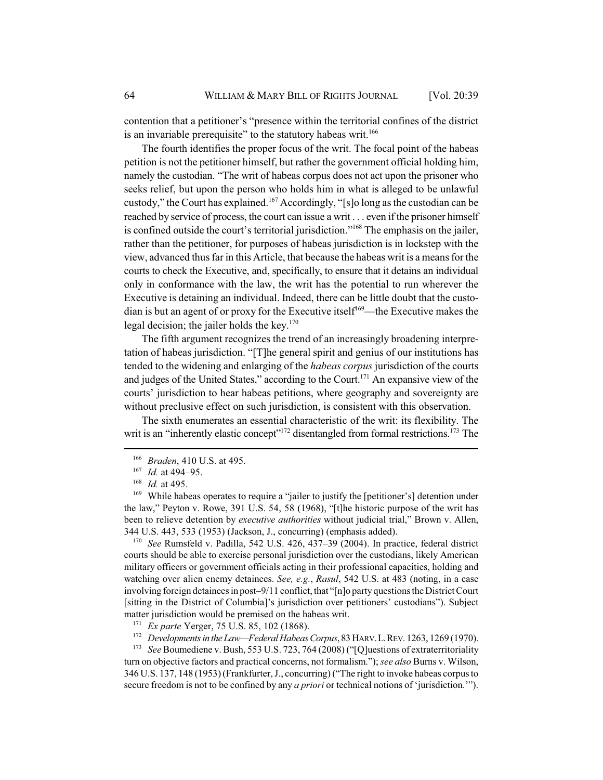contention that a petitioner's "presence within the territorial confines of the district is an invariable prerequisite" to the statutory habeas writ.<sup>166</sup>

The fourth identifies the proper focus of the writ. The focal point of the habeas petition is not the petitioner himself, but rather the government official holding him, namely the custodian. "The writ of habeas corpus does not act upon the prisoner who seeks relief, but upon the person who holds him in what is alleged to be unlawful custody," the Court has explained.<sup>167</sup> Accordingly, "[s]o long as the custodian can be reached by service of process, the court can issue a writ . . . even if the prisoner himself is confined outside the court's territorial jurisdiction."168 The emphasis on the jailer, rather than the petitioner, for purposes of habeas jurisdiction is in lockstep with the view, advanced thus far in this Article, that because the habeas writ is a means for the courts to check the Executive, and, specifically, to ensure that it detains an individual only in conformance with the law, the writ has the potential to run wherever the Executive is detaining an individual. Indeed, there can be little doubt that the custodian is but an agent of or proxy for the Executive itself<sup>169</sup>—the Executive makes the legal decision; the jailer holds the key. $170$ 

The fifth argument recognizes the trend of an increasingly broadening interpretation of habeas jurisdiction. "[T]he general spirit and genius of our institutions has tended to the widening and enlarging of the *habeas corpus* jurisdiction of the courts and judges of the United States," according to the Court.<sup>171</sup> An expansive view of the courts' jurisdiction to hear habeas petitions, where geography and sovereignty are without preclusive effect on such jurisdiction, is consistent with this observation.

The sixth enumerates an essential characteristic of the writ: its flexibility. The writ is an "inherently elastic concept"<sup>172</sup> disentangled from formal restrictions.<sup>173</sup> The

<sup>170</sup> *See* Rumsfeld v. Padilla, 542 U.S. 426, 437–39 (2004). In practice, federal district courts should be able to exercise personal jurisdiction over the custodians, likely American military officers or government officials acting in their professional capacities, holding and watching over alien enemy detainees. *See, e.g.*, *Rasul*, 542 U.S. at 483 (noting, in a case involving foreign detainees in post–9/11 conflict, that "[n]o party questions the District Court [sitting in the District of Columbia]'s jurisdiction over petitioners' custodians"). Subject matter jurisdiction would be premised on the habeas writ.

<sup>172</sup> *Developments in the Law—Federal Habeas Corpus*, 83 HARV. L. REV. 1263, 1269 (1970).<br><sup>173</sup> *See* Boumediene v. Bush. 553 U.S. 723, 764 (2008) ("Oluestions of extraterritoriality

See Boumediene v. Bush, 553 U.S. 723, 764 (2008) ("[Q]uestions of extraterritoriality turn on objective factors and practical concerns, not formalism."); *see also* Burns v. Wilson, 346 U.S. 137, 148 (1953) (Frankfurter, J., concurring) ("The right to invoke habeas corpus to secure freedom is not to be confined by any *a priori* or technical notions of 'jurisdiction.'").

<sup>166</sup> *Braden*, 410 U.S. at 495.

<sup>167</sup> *Id.* at 494–95.

<sup>168</sup> *Id.* at 495.

<sup>&</sup>lt;sup>169</sup> While habeas operates to require a "jailer to justify the [petitioner's] detention under the law," Peyton v. Rowe, 391 U.S. 54, 58 (1968), "[t]he historic purpose of the writ has been to relieve detention by *executive authorities* without judicial trial," Brown v. Allen, 344 U.S. 443, 533 (1953) (Jackson, J., concurring) (emphasis added).

<sup>171</sup> *Ex parte* Yerger, 75 U.S. 85, 102 (1868).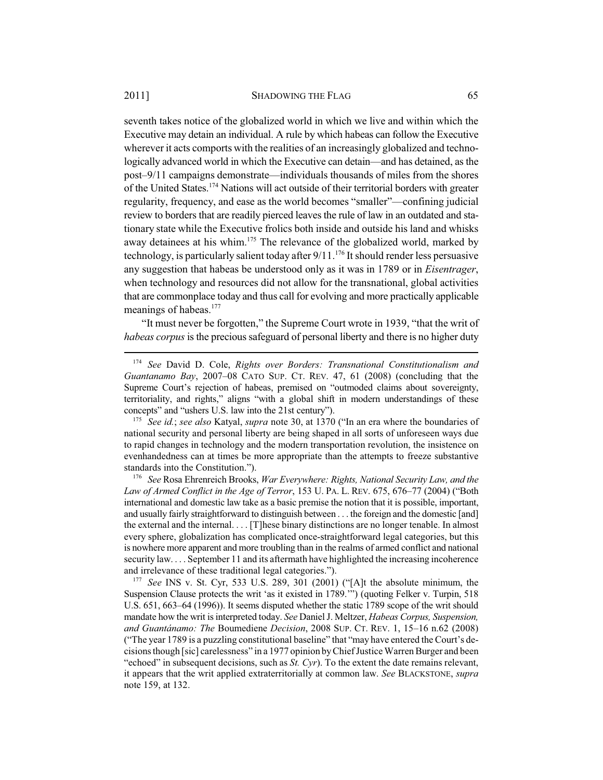#### 2011] SHADOWING THE FLAG 65

seventh takes notice of the globalized world in which we live and within which the Executive may detain an individual. A rule by which habeas can follow the Executive wherever it acts comports with the realities of an increasingly globalized and technologically advanced world in which the Executive can detain—and has detained, as the post–9/11 campaigns demonstrate—individuals thousands of miles from the shores of the United States.174 Nations will act outside of their territorial borders with greater regularity, frequency, and ease as the world becomes "smaller"—confining judicial review to borders that are readily pierced leaves the rule of law in an outdated and stationary state while the Executive frolics both inside and outside his land and whisks away detainees at his whim.<sup>175</sup> The relevance of the globalized world, marked by technology, is particularly salient today after  $9/11$ .<sup>176</sup> It should render less persuasive any suggestion that habeas be understood only as it was in 1789 or in *Eisentrager*, when technology and resources did not allow for the transnational, global activities that are commonplace today and thus call for evolving and more practically applicable meanings of habeas.<sup>177</sup>

"It must never be forgotten," the Supreme Court wrote in 1939, "that the writ of *habeas corpus* is the precious safeguard of personal liberty and there is no higher duty

<sup>174</sup> *See* David D. Cole, *Rights over Borders: Transnational Constitutionalism and Guantanamo Bay*, 2007–08 CATO SUP. CT. REV. 47, 61 (2008) (concluding that the Supreme Court's rejection of habeas, premised on "outmoded claims about sovereignty, territoriality, and rights," aligns "with a global shift in modern understandings of these concepts" and "ushers U.S. law into the 21st century").

<sup>175</sup> *See id.*; *see also* Katyal, *supra* note 30, at 1370 ("In an era where the boundaries of national security and personal liberty are being shaped in all sorts of unforeseen ways due to rapid changes in technology and the modern transportation revolution, the insistence on evenhandedness can at times be more appropriate than the attempts to freeze substantive standards into the Constitution.").

<sup>176</sup> *See* Rosa Ehrenreich Brooks, *War Everywhere: Rights, National Security Law, and the Law of Armed Conflict in the Age of Terror*, 153 U. PA. L. REV. 675, 676–77 (2004) ("Both international and domestic law take as a basic premise the notion that it is possible, important, and usually fairly straightforward to distinguish between . . . the foreign and the domestic [and] the external and the internal. . . . [T]hese binary distinctions are no longer tenable. In almost every sphere, globalization has complicated once-straightforward legal categories, but this is nowhere more apparent and more troubling than in the realms of armed conflict and national security law. . . . September 11 and its aftermath have highlighted the increasing incoherence and irrelevance of these traditional legal categories.").

<sup>177</sup> *See* INS v. St. Cyr, 533 U.S. 289, 301 (2001) ("[A]t the absolute minimum, the Suspension Clause protects the writ 'as it existed in 1789.'") (quoting Felker v. Turpin, 518 U.S. 651, 663–64 (1996)). It seems disputed whether the static 1789 scope of the writ should mandate how the writ is interpreted today. *See* Daniel J. Meltzer, *Habeas Corpus, Suspension, and Guantánamo: The* Boumediene *Decision*, 2008 SUP. CT. REV. 1, 15–16 n.62 (2008) ("The year 1789 is a puzzling constitutional baseline" that "may have entered the Court's decisions though [sic] carelessness" in a 1977 opinion by Chief Justice Warren Burger and been "echoed" in subsequent decisions, such as *St. Cyr*). To the extent the date remains relevant, it appears that the writ applied extraterritorially at common law. *See* BLACKSTONE, *supra* note 159, at 132.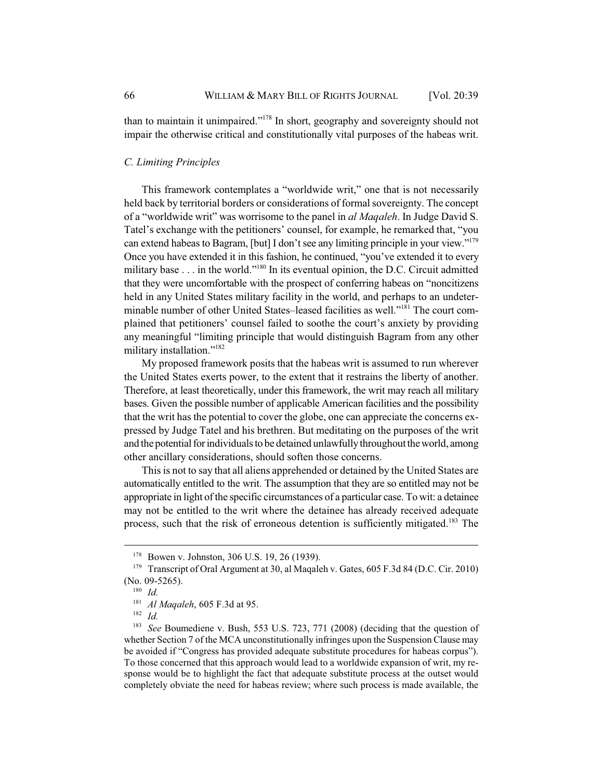than to maintain it unimpaired."178 In short, geography and sovereignty should not impair the otherwise critical and constitutionally vital purposes of the habeas writ.

# *C. Limiting Principles*

This framework contemplates a "worldwide writ," one that is not necessarily held back by territorial borders or considerations of formal sovereignty. The concept of a "worldwide writ" was worrisome to the panel in *al Maqaleh*. In Judge David S. Tatel's exchange with the petitioners' counsel, for example, he remarked that, "you can extend habeas to Bagram, [but] I don't see any limiting principle in your view."179 Once you have extended it in this fashion, he continued, "you've extended it to every military base . . . in the world."<sup>180</sup> In its eventual opinion, the D.C. Circuit admitted that they were uncomfortable with the prospect of conferring habeas on "noncitizens held in any United States military facility in the world, and perhaps to an undeterminable number of other United States–leased facilities as well."181 The court complained that petitioners' counsel failed to soothe the court's anxiety by providing any meaningful "limiting principle that would distinguish Bagram from any other military installation."<sup>182</sup>

My proposed framework posits that the habeas writ is assumed to run wherever the United States exerts power, to the extent that it restrains the liberty of another. Therefore, at least theoretically, under this framework, the writ may reach all military bases. Given the possible number of applicable American facilities and the possibility that the writ has the potential to cover the globe, one can appreciate the concerns expressed by Judge Tatel and his brethren. But meditating on the purposes of the writ and the potential for individuals to be detained unlawfully throughout the world, among other ancillary considerations, should soften those concerns.

This is not to say that all aliens apprehended or detained by the United States are automatically entitled to the writ. The assumption that they are so entitled may not be appropriate in light of the specific circumstances of a particular case. To wit: a detainee may not be entitled to the writ where the detainee has already received adequate process, such that the risk of erroneous detention is sufficiently mitigated.183 The

<sup>178</sup> Bowen v. Johnston, 306 U.S. 19, 26 (1939).

<sup>&</sup>lt;sup>179</sup> Transcript of Oral Argument at 30, al Maqaleh v. Gates, 605 F.3d 84 (D.C. Cir. 2010) (No. 09-5265).

 $\frac{180}{181}$  *Id.* 

<sup>&</sup>lt;sup>181</sup> *Al Maqaleh*, 605 F.3d at 95.<br><sup>182</sup> *Id* 

 $\frac{182}{183}$  *Id.* 

See Boumediene v. Bush, 553 U.S. 723, 771 (2008) (deciding that the question of whether Section 7 of the MCA unconstitutionally infringes upon the Suspension Clause may be avoided if "Congress has provided adequate substitute procedures for habeas corpus"). To those concerned that this approach would lead to a worldwide expansion of writ, my response would be to highlight the fact that adequate substitute process at the outset would completely obviate the need for habeas review; where such process is made available, the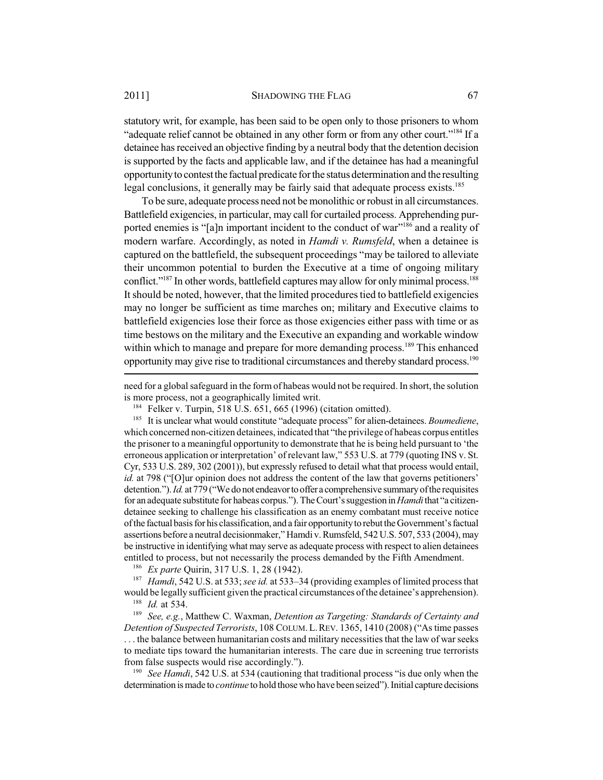statutory writ, for example, has been said to be open only to those prisoners to whom "adequate relief cannot be obtained in any other form or from any other court."<sup>184</sup> If a detainee has received an objective finding by a neutral body that the detention decision is supported by the facts and applicable law, and if the detainee has had a meaningful opportunity to contest the factual predicate for the status determination and the resulting legal conclusions, it generally may be fairly said that adequate process exists.<sup>185</sup>

To be sure, adequate process need not be monolithic or robust in all circumstances. Battlefield exigencies, in particular, may call for curtailed process. Apprehending purported enemies is "[a]n important incident to the conduct of war"186 and a reality of modern warfare. Accordingly, as noted in *Hamdi v. Rumsfeld*, when a detainee is captured on the battlefield, the subsequent proceedings "may be tailored to alleviate their uncommon potential to burden the Executive at a time of ongoing military conflict."<sup>187</sup> In other words, battlefield captures may allow for only minimal process.<sup>188</sup> It should be noted, however, that the limited procedures tied to battlefield exigencies may no longer be sufficient as time marches on; military and Executive claims to battlefield exigencies lose their force as those exigencies either pass with time or as time bestows on the military and the Executive an expanding and workable window within which to manage and prepare for more demanding process.<sup>189</sup> This enhanced opportunity may give rise to traditional circumstances and thereby standard process.<sup>190</sup>

need for a global safeguard in the form of habeas would not be required. In short, the solution is more process, not a geographically limited writ.

<sup>184</sup> Felker v. Turpin, 518 U.S. 651, 665 (1996) (citation omitted).

<sup>185</sup> It is unclear what would constitute "adequate process" for alien-detainees. *Boumediene*, which concerned non-citizen detainees, indicated that "the privilege of habeas corpus entitles the prisoner to a meaningful opportunity to demonstrate that he is being held pursuant to 'the erroneous application or interpretation' of relevant law," 553 U.S. at 779 (quoting INS v. St. Cyr, 533 U.S. 289, 302 (2001)), but expressly refused to detail what that process would entail, *id.* at 798 ("[O]ur opinion does not address the content of the law that governs petitioners' detention."). *Id.* at 779 ("We do not endeavor to offer a comprehensive summary of the requisites for an adequate substitute for habeas corpus."). The Court's suggestion in *Hamdi* that "a citizendetainee seeking to challenge his classification as an enemy combatant must receive notice of the factual basis for his classification, and a fair opportunity to rebut the Government's factual assertions before a neutral decisionmaker," Hamdi v. Rumsfeld, 542 U.S. 507, 533 (2004), may be instructive in identifying what may serve as adequate process with respect to alien detainees entitled to process, but not necessarily the process demanded by the Fifth Amendment.

<sup>186</sup> *Ex parte* Quirin, 317 U.S. 1, 28 (1942).

<sup>187</sup> *Hamdi*, 542 U.S. at 533; *see id.* at 533–34 (providing examples of limited process that would be legally sufficient given the practical circumstances of the detainee's apprehension).

<sup>188</sup> *Id.* at 534.

<sup>189</sup> *See, e.g.*, Matthew C. Waxman, *Detention as Targeting: Standards of Certainty and Detention of Suspected Terrorists*, 108 COLUM.L.REV. 1365, 1410 (2008) ("As time passes . . . the balance between humanitarian costs and military necessities that the law of war seeks to mediate tips toward the humanitarian interests. The care due in screening true terrorists from false suspects would rise accordingly.").

<sup>190</sup> *See Hamdi*, 542 U.S. at 534 (cautioning that traditional process "is due only when the determination is made to *continue* to hold those who have been seized"). Initial capture decisions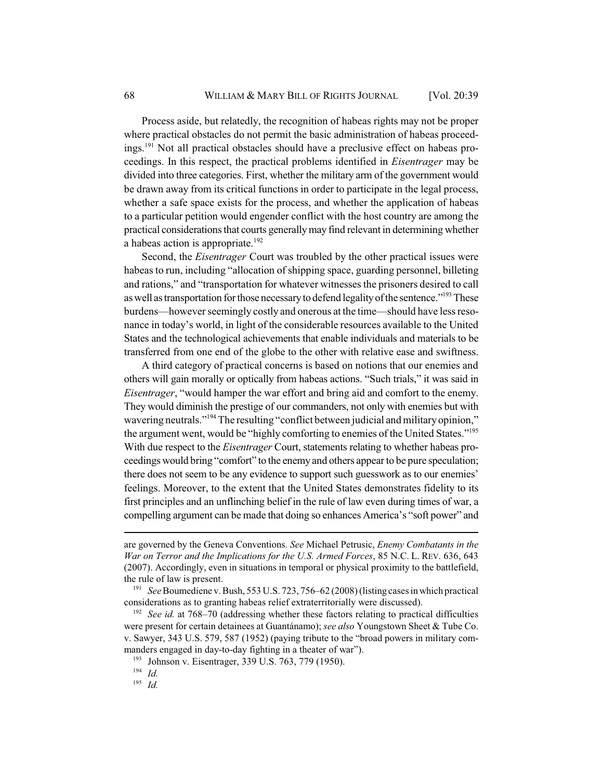Process aside, but relatedly, the recognition of habeas rights may not be proper where practical obstacles do not permit the basic administration of habeas proceedings.<sup>191</sup> Not all practical obstacles should have a preclusive effect on habeas proceedings. In this respect, the practical problems identified in *Eisentrager* may be divided into three categories. First, whether the military arm of the government would be drawn away from its critical functions in order to participate in the legal process, whether a safe space exists for the process, and whether the application of habeas to a particular petition would engender conflict with the host country are among the practical considerations that courts generally may find relevant in determining whether a habeas action is appropriate.<sup>192</sup>

Second, the *Eisentrager* Court was troubled by the other practical issues were habeas to run, including "allocation of shipping space, guarding personnel, billeting and rations," and "transportation for whatever witnesses the prisoners desired to call as well as transportation for those necessary to defend legality of the sentence."<sup>193</sup> These burdens—however seemingly costly and onerous at the time—should have less resonance in today's world, in light of the considerable resources available to the United States and the technological achievements that enable individuals and materials to be transferred from one end of the globe to the other with relative ease and swiftness.

A third category of practical concerns is based on notions that our enemies and others will gain morally or optically from habeas actions. "Such trials," it was said in *Eisentrager*, "would hamper the war effort and bring aid and comfort to the enemy. They would diminish the prestige of our commanders, not only with enemies but with wavering neutrals."<sup>194</sup> The resulting "conflict between judicial and military opinion," the argument went, would be "highly comforting to enemies of the United States."<sup>195</sup> With due respect to the *Eisentrager* Court, statements relating to whether habeas proceedings would bring "comfort" to the enemy and others appear to be pure speculation; there does not seem to be any evidence to support such guesswork as to our enemies' feelings. Moreover, to the extent that the United States demonstrates fidelity to its first principles and an unflinching belief in the rule of law even during times of war, a compelling argument can be made that doing so enhances America's "soft power" and

are governed by the Geneva Conventions. *See* Michael Petrusic, *Enemy Combatants in the War on Terror and the Implications for the U.S. Armed Forces*, 85 N.C. L. REV. 636, 643 (2007). Accordingly, even in situations in temporal or physical proximity to the battlefield, the rule of law is present.

<sup>191</sup> *See* Boumediene v. Bush, 553 U.S. 723, 756–62 (2008) (listing cases in which practical considerations as to granting habeas relief extraterritorially were discussed).

<sup>&</sup>lt;sup>192</sup> *See id.* at 768–70 (addressing whether these factors relating to practical difficulties were present for certain detainees at Guantánamo); *see also* Youngstown Sheet & Tube Co. v. Sawyer, 343 U.S. 579, 587 (1952) (paying tribute to the "broad powers in military commanders engaged in day-to-day fighting in a theater of war").

<sup>193</sup> Johnson v. Eisentrager, 339 U.S. 763, 779 (1950).

<sup>194</sup> *Id.*

<sup>195</sup> *Id.*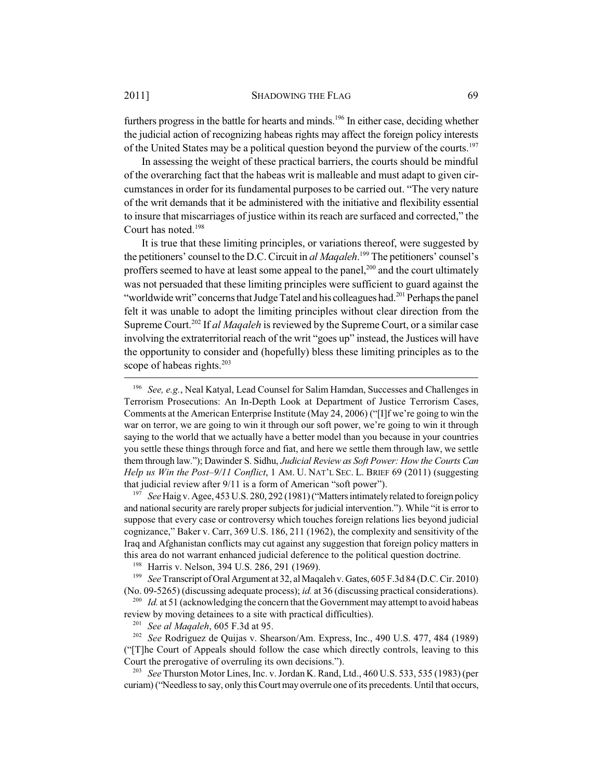furthers progress in the battle for hearts and minds.<sup>196</sup> In either case, deciding whether the judicial action of recognizing habeas rights may affect the foreign policy interests of the United States may be a political question beyond the purview of the courts.<sup>197</sup>

In assessing the weight of these practical barriers, the courts should be mindful of the overarching fact that the habeas writ is malleable and must adapt to given circumstances in order for its fundamental purposes to be carried out. "The very nature of the writ demands that it be administered with the initiative and flexibility essential to insure that miscarriages of justice within its reach are surfaced and corrected," the Court has noted.198

It is true that these limiting principles, or variations thereof, were suggested by the petitioners' counsel to the D.C. Circuit in *al Maqaleh*.<sup>199</sup> The petitioners' counsel's proffers seemed to have at least some appeal to the panel,<sup>200</sup> and the court ultimately was not persuaded that these limiting principles were sufficient to guard against the "worldwide writ" concerns that Judge Tatel and his colleagues had.<sup>201</sup> Perhaps the panel felt it was unable to adopt the limiting principles without clear direction from the Supreme Court.<sup>202</sup> If *al Maqaleh* is reviewed by the Supreme Court, or a similar case involving the extraterritorial reach of the writ "goes up" instead, the Justices will have the opportunity to consider and (hopefully) bless these limiting principles as to the scope of habeas rights.<sup>203</sup>

<sup>197</sup> *See* Haig v. Agee, 453 U.S. 280, 292 (1981) ("Matters intimately related to foreign policy and national security are rarely proper subjects for judicial intervention."). While "it is error to suppose that every case or controversy which touches foreign relations lies beyond judicial cognizance," Baker v. Carr, 369 U.S. 186, 211 (1962), the complexity and sensitivity of the Iraq and Afghanistan conflicts may cut against any suggestion that foreign policy matters in this area do not warrant enhanced judicial deference to the political question doctrine.

<sup>198</sup> Harris v. Nelson, 394 U.S. 286, 291 (1969).

<sup>199</sup> *See* Transcript of Oral Argument at 32, al Maqaleh v. Gates, 605 F.3d 84 (D.C. Cir. 2010) (No. 09-5265) (discussing adequate process); *id.* at 36 (discussing practical considerations).

<sup>200</sup> *Id.* at 51 (acknowledging the concern that the Government may attempt to avoid habeas review by moving detainees to a site with practical difficulties).

<sup>202</sup> *See* Rodriguez de Quijas v. Shearson/Am. Express, Inc., 490 U.S. 477, 484 (1989) ("[T]he Court of Appeals should follow the case which directly controls, leaving to this Court the prerogative of overruling its own decisions.").

<sup>203</sup> *See* Thurston Motor Lines, Inc. v. Jordan K. Rand, Ltd., 460 U.S. 533, 535 (1983) (per curiam) ("Needless to say, only this Court may overrule one of its precedents. Until that occurs,

<sup>196</sup> *See, e.g.*, Neal Katyal, Lead Counsel for Salim Hamdan, Successes and Challenges in Terrorism Prosecutions: An In-Depth Look at Department of Justice Terrorism Cases, Comments at the American Enterprise Institute (May 24, 2006) ("[I]f we're going to win the war on terror, we are going to win it through our soft power, we're going to win it through saying to the world that we actually have a better model than you because in your countries you settle these things through force and fiat, and here we settle them through law, we settle them through law."); Dawinder S. Sidhu, *Judicial Review as Soft Power: How the Courts Can Help us Win the Post–9/11 Conflict*, 1 AM. U. NAT'L SEC. L. BRIEF 69 (2011) (suggesting that judicial review after 9/11 is a form of American "soft power").

<sup>201</sup> *See al Maqaleh*, 605 F.3d at 95.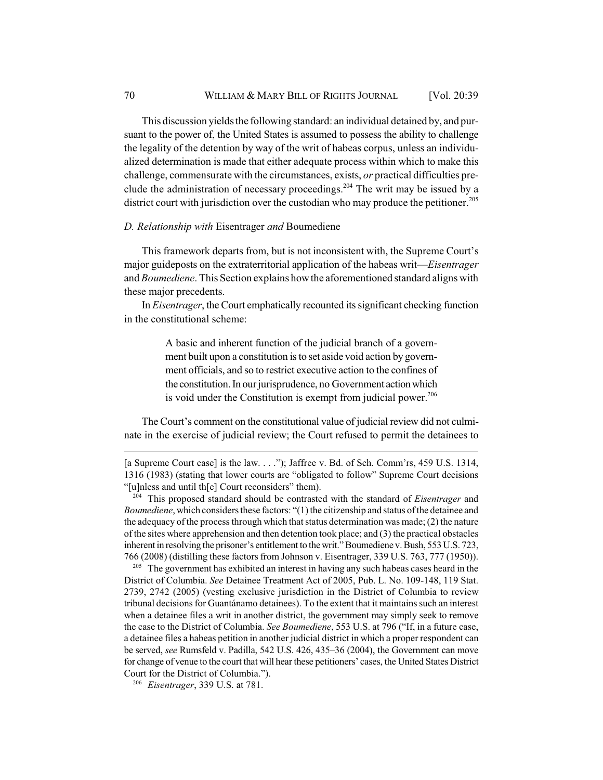This discussion yields the following standard: an individual detained by, and pursuant to the power of, the United States is assumed to possess the ability to challenge the legality of the detention by way of the writ of habeas corpus, unless an individualized determination is made that either adequate process within which to make this challenge, commensurate with the circumstances, exists, *or* practical difficulties preclude the administration of necessary proceedings.<sup>204</sup> The writ may be issued by a district court with jurisdiction over the custodian who may produce the petitioner.<sup>205</sup>

## *D. Relationship with* Eisentrager *and* Boumediene

This framework departs from, but is not inconsistent with, the Supreme Court's major guideposts on the extraterritorial application of the habeas writ—*Eisentrager* and *Boumediene*. This Section explains how the aforementioned standard aligns with these major precedents.

In *Eisentrager*, the Court emphatically recounted its significant checking function in the constitutional scheme:

> A basic and inherent function of the judicial branch of a government built upon a constitution is to set aside void action by government officials, and so to restrict executive action to the confines of the constitution. In our jurisprudence, no Government action which is void under the Constitution is exempt from judicial power.<sup>206</sup>

The Court's comment on the constitutional value of judicial review did not culminate in the exercise of judicial review; the Court refused to permit the detainees to

<sup>206</sup> *Eisentrager*, 339 U.S. at 781.

<sup>[</sup>a Supreme Court case] is the law. . . ."); Jaffree v. Bd. of Sch. Comm'rs, 459 U.S. 1314, 1316 (1983) (stating that lower courts are "obligated to follow" Supreme Court decisions "[u]nless and until th[e] Court reconsiders" them).

<sup>204</sup> This proposed standard should be contrasted with the standard of *Eisentrager* and *Boumediene*, which considers these factors: "(1) the citizenship and status of the detainee and the adequacy of the process through which that status determination was made;  $(2)$  the nature of the sites where apprehension and then detention took place; and (3) the practical obstacles inherent in resolving the prisoner's entitlement to the writ." Boumediene v. Bush, 553 U.S. 723, 766 (2008) (distilling these factors from Johnson v. Eisentrager, 339 U.S. 763, 777 (1950)).

<sup>&</sup>lt;sup>205</sup> The government has exhibited an interest in having any such habeas cases heard in the District of Columbia. *See* Detainee Treatment Act of 2005, Pub. L. No. 109-148, 119 Stat. 2739, 2742 (2005) (vesting exclusive jurisdiction in the District of Columbia to review tribunal decisions for Guantánamo detainees). To the extent that it maintains such an interest when a detainee files a writ in another district, the government may simply seek to remove the case to the District of Columbia. *See Boumediene*, 553 U.S. at 796 ("If, in a future case, a detainee files a habeas petition in another judicial district in which a proper respondent can be served, *see* Rumsfeld v. Padilla, 542 U.S. 426, 435–36 (2004), the Government can move for change of venue to the court that will hear these petitioners' cases, the United States District Court for the District of Columbia.").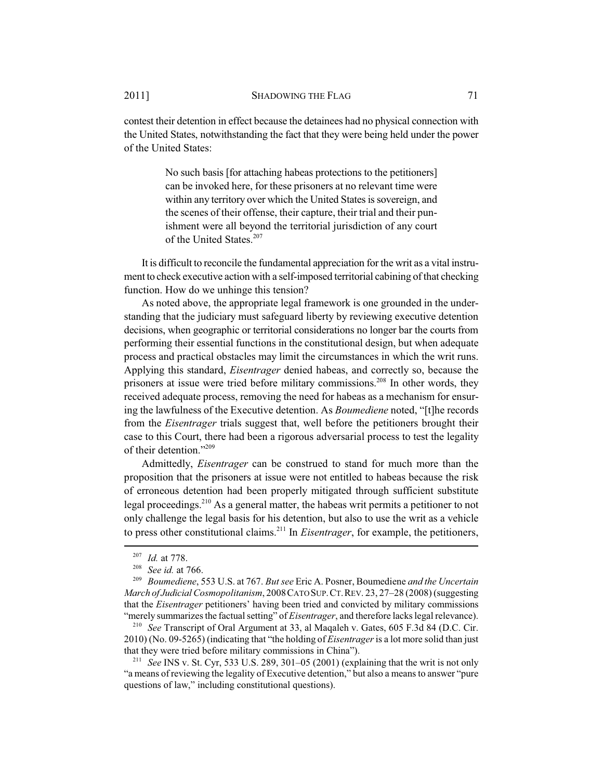contest their detention in effect because the detainees had no physical connection with the United States, notwithstanding the fact that they were being held under the power of the United States:

> No such basis [for attaching habeas protections to the petitioners] can be invoked here, for these prisoners at no relevant time were within any territory over which the United States is sovereign, and the scenes of their offense, their capture, their trial and their punishment were all beyond the territorial jurisdiction of any court of the United States.<sup>207</sup>

It is difficult to reconcile the fundamental appreciation for the writ as a vital instrument to check executive action with a self-imposed territorial cabining of that checking function. How do we unhinge this tension?

As noted above, the appropriate legal framework is one grounded in the understanding that the judiciary must safeguard liberty by reviewing executive detention decisions, when geographic or territorial considerations no longer bar the courts from performing their essential functions in the constitutional design, but when adequate process and practical obstacles may limit the circumstances in which the writ runs. Applying this standard, *Eisentrager* denied habeas, and correctly so, because the prisoners at issue were tried before military commissions.208 In other words, they received adequate process, removing the need for habeas as a mechanism for ensuring the lawfulness of the Executive detention. As *Boumediene* noted, "[t]he records from the *Eisentrager* trials suggest that, well before the petitioners brought their case to this Court, there had been a rigorous adversarial process to test the legality of their detention."209

Admittedly, *Eisentrager* can be construed to stand for much more than the proposition that the prisoners at issue were not entitled to habeas because the risk of erroneous detention had been properly mitigated through sufficient substitute legal proceedings.210 As a general matter, the habeas writ permits a petitioner to not only challenge the legal basis for his detention, but also to use the writ as a vehicle to press other constitutional claims.211 In *Eisentrager*, for example, the petitioners,

<sup>210</sup> *See* Transcript of Oral Argument at 33, al Maqaleh v. Gates, 605 F.3d 84 (D.C. Cir. 2010) (No. 09-5265) (indicating that "the holding of *Eisentrager* is a lot more solid than just that they were tried before military commissions in China").

<sup>211</sup> *See* INS v. St. Cyr, 533 U.S. 289, 301–05 (2001) (explaining that the writ is not only "a means of reviewing the legality of Executive detention," but also a means to answer "pure questions of law," including constitutional questions).

<sup>207</sup> *Id.* at 778.

<sup>208</sup> *See id.* at 766.

<sup>209</sup> *Boumediene*, 553 U.S. at 767. *But see* Eric A. Posner, Boumediene *and the Uncertain March of Judicial Cosmopolitanism*, 2008CATO SUP.CT.REV. 23, 27–28 (2008) (suggesting that the *Eisentrager* petitioners' having been tried and convicted by military commissions "merely summarizes the factual setting" of *Eisentrager*, and therefore lacks legal relevance).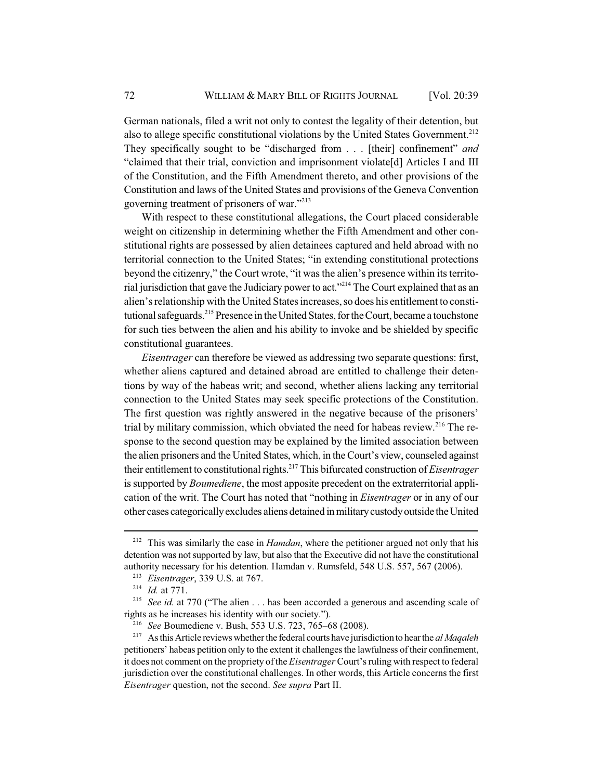German nationals, filed a writ not only to contest the legality of their detention, but also to allege specific constitutional violations by the United States Government.<sup>212</sup> They specifically sought to be "discharged from . . . [their] confinement" *and* "claimed that their trial, conviction and imprisonment violate[d] Articles I and III of the Constitution, and the Fifth Amendment thereto, and other provisions of the Constitution and laws of the United States and provisions of the Geneva Convention governing treatment of prisoners of war."213

With respect to these constitutional allegations, the Court placed considerable weight on citizenship in determining whether the Fifth Amendment and other constitutional rights are possessed by alien detainees captured and held abroad with no territorial connection to the United States; "in extending constitutional protections beyond the citizenry," the Court wrote, "it was the alien's presence within its territorial jurisdiction that gave the Judiciary power to act."<sup>214</sup> The Court explained that as an alien's relationship with the United States increases, so does his entitlement to constitutional safeguards.215 Presence in the United States, for the Court, became a touchstone for such ties between the alien and his ability to invoke and be shielded by specific constitutional guarantees.

*Eisentrager* can therefore be viewed as addressing two separate questions: first, whether aliens captured and detained abroad are entitled to challenge their detentions by way of the habeas writ; and second, whether aliens lacking any territorial connection to the United States may seek specific protections of the Constitution. The first question was rightly answered in the negative because of the prisoners' trial by military commission, which obviated the need for habeas review.<sup>216</sup> The response to the second question may be explained by the limited association between the alien prisoners and the United States, which, in the Court's view, counseled against their entitlement to constitutional rights.217 This bifurcated construction of *Eisentrager* is supported by *Boumediene*, the most apposite precedent on the extraterritorial application of the writ. The Court has noted that "nothing in *Eisentrager* or in any of our other cases categorically excludes aliens detained in military custody outside the United

<sup>212</sup> This was similarly the case in *Hamdan*, where the petitioner argued not only that his detention was not supported by law, but also that the Executive did not have the constitutional authority necessary for his detention. Hamdan v. Rumsfeld, 548 U.S. 557, 567 (2006).

<sup>213</sup> *Eisentrager*, 339 U.S. at 767.

<sup>214</sup> *Id.* at 771.

<sup>&</sup>lt;sup>215</sup> *See id.* at 770 ("The alien . . . has been accorded a generous and ascending scale of rights as he increases his identity with our society.").

<sup>216</sup> *See* Boumediene v. Bush, 553 U.S. 723, 765–68 (2008).

<sup>217</sup> As this Article reviews whether the federal courts have jurisdiction to hear the *al Maqaleh* petitioners' habeas petition only to the extent it challenges the lawfulness of their confinement, it does not comment on the propriety of the *Eisentrager* Court's ruling with respect to federal jurisdiction over the constitutional challenges. In other words, this Article concerns the first *Eisentrager* question, not the second. *See supra* Part II.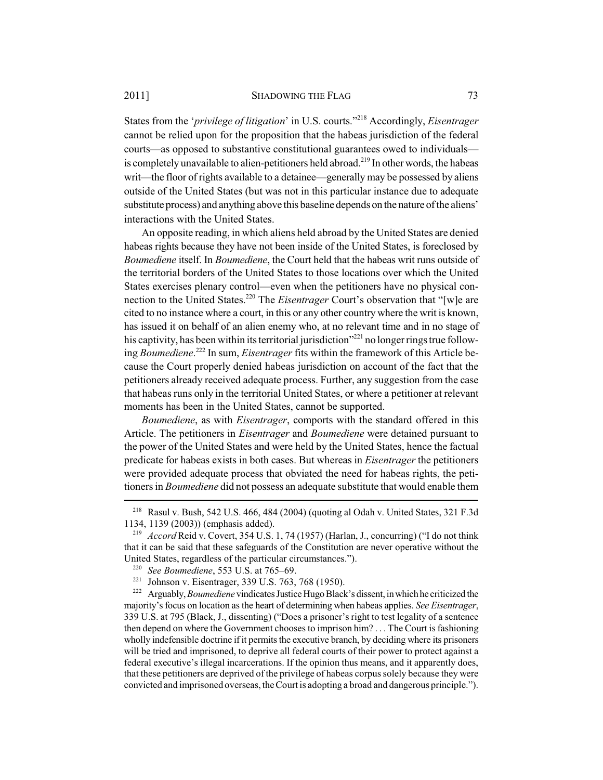States from the '*privilege of litigation*' in U.S. courts."218 Accordingly, *Eisentrager* cannot be relied upon for the proposition that the habeas jurisdiction of the federal courts—as opposed to substantive constitutional guarantees owed to individuals is completely unavailable to alien-petitioners held abroad.<sup>219</sup> In other words, the habeas writ—the floor of rights available to a detainee—generally may be possessed by aliens outside of the United States (but was not in this particular instance due to adequate substitute process) and anything above this baseline depends on the nature of the aliens' interactions with the United States.

An opposite reading, in which aliens held abroad by the United States are denied habeas rights because they have not been inside of the United States, is foreclosed by *Boumediene* itself. In *Boumediene*, the Court held that the habeas writ runs outside of the territorial borders of the United States to those locations over which the United States exercises plenary control—even when the petitioners have no physical connection to the United States.<sup>220</sup> The *Eisentrager* Court's observation that "[w]e are cited to no instance where a court, in this or any other country where the writ is known, has issued it on behalf of an alien enemy who, at no relevant time and in no stage of his captivity, has been within its territorial jurisdiction<sup>"221</sup> no longer rings true following *Boumediene*. 222 In sum, *Eisentrager* fits within the framework of this Article because the Court properly denied habeas jurisdiction on account of the fact that the petitioners already received adequate process. Further, any suggestion from the case that habeas runs only in the territorial United States, or where a petitioner at relevant moments has been in the United States, cannot be supported.

*Boumediene*, as with *Eisentrager*, comports with the standard offered in this Article. The petitioners in *Eisentrager* and *Boumediene* were detained pursuant to the power of the United States and were held by the United States, hence the factual predicate for habeas exists in both cases. But whereas in *Eisentrager* the petitioners were provided adequate process that obviated the need for habeas rights, the petitioners in *Boumediene* did not possess an adequate substitute that would enable them

<sup>218</sup> Rasul v. Bush, 542 U.S. 466, 484 (2004) (quoting al Odah v. United States, 321 F.3d 1134, 1139 (2003)) (emphasis added).

<sup>&</sup>lt;sup>219</sup> *Accord* Reid v. Covert, 354 U.S. 1, 74 (1957) (Harlan, J., concurring) ("I do not think that it can be said that these safeguards of the Constitution are never operative without the United States, regardless of the particular circumstances.").

<sup>220</sup> *See Boumediene*, 553 U.S. at 765–69.

<sup>&</sup>lt;sup>221</sup> Johnson v. Eisentrager, 339 U.S. 763, 768 (1950).<br><sup>222</sup> Arguably *Roumediane* vindicates Justice Hugo Black

Arguably, *Boumediene* vindicates Justice Hugo Black's dissent, in which he criticized the majority's focus on location as the heart of determining when habeas applies. *See Eisentrager*, 339 U.S. at 795 (Black, J., dissenting) ("Does a prisoner's right to test legality of a sentence then depend on where the Government chooses to imprison him? . . . The Court is fashioning wholly indefensible doctrine if it permits the executive branch, by deciding where its prisoners will be tried and imprisoned, to deprive all federal courts of their power to protect against a federal executive's illegal incarcerations. If the opinion thus means, and it apparently does, that these petitioners are deprived of the privilege of habeas corpus solely because they were convicted and imprisoned overseas, the Court is adopting a broad and dangerous principle.").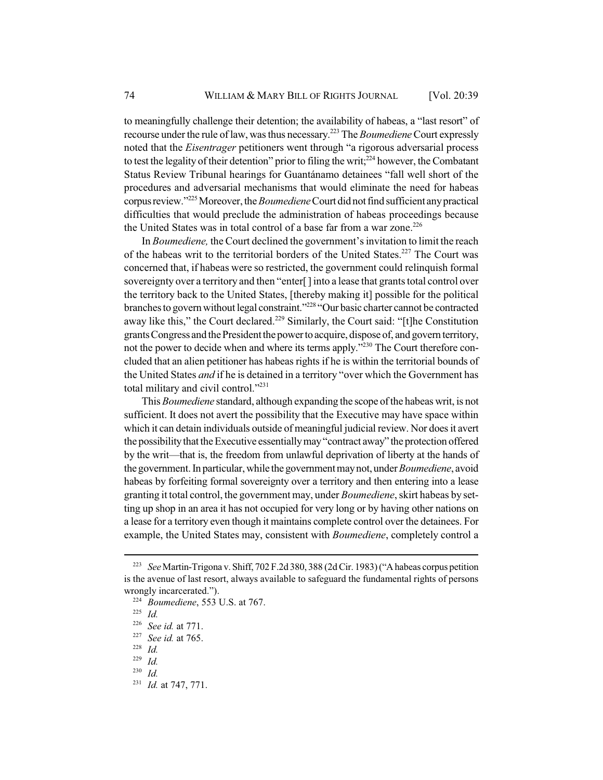to meaningfully challenge their detention; the availability of habeas, a "last resort" of recourse under the rule of law, was thus necessary.223 The *Boumediene* Court expressly noted that the *Eisentrager* petitioners went through "a rigorous adversarial process to test the legality of their detention" prior to filing the writ;<sup>224</sup> however, the Combatant Status Review Tribunal hearings for Guantánamo detainees "fall well short of the procedures and adversarial mechanisms that would eliminate the need for habeas corpus review."225 Moreover, the *Boumediene* Court did not find sufficient any practical difficulties that would preclude the administration of habeas proceedings because the United States was in total control of a base far from a war zone.<sup>226</sup>

In *Boumediene,* the Court declined the government's invitation to limit the reach of the habeas writ to the territorial borders of the United States.<sup>227</sup> The Court was concerned that, if habeas were so restricted, the government could relinquish formal sovereignty over a territory and then "enter[ ] into a lease that grants total control over the territory back to the United States, [thereby making it] possible for the political branches to govern without legal constraint."<sup>228</sup> "Our basic charter cannot be contracted away like this," the Court declared.<sup>229</sup> Similarly, the Court said: "[t]he Constitution grants Congress and the President the power to acquire, dispose of, and govern territory, not the power to decide when and where its terms apply."<sup>230</sup> The Court therefore concluded that an alien petitioner has habeas rights if he is within the territorial bounds of the United States *and* if he is detained in a territory "over which the Government has total military and civil control."<sup>231</sup>

This *Boumediene* standard, although expanding the scope of the habeas writ, is not sufficient. It does not avert the possibility that the Executive may have space within which it can detain individuals outside of meaningful judicial review. Nor does it avert the possibility that the Executive essentially may "contract away" the protection offered by the writ—that is, the freedom from unlawful deprivation of liberty at the hands of the government. In particular, while the government may not, under *Boumediene*, avoid habeas by forfeiting formal sovereignty over a territory and then entering into a lease granting it total control, the government may, under *Boumediene*, skirt habeas by setting up shop in an area it has not occupied for very long or by having other nations on a lease for a territory even though it maintains complete control over the detainees. For example, the United States may, consistent with *Boumediene*, completely control a

<sup>223</sup> *See* Martin-Trigona v. Shiff, 702 F.2d 380, 388 (2d Cir. 1983) ("A habeas corpus petition is the avenue of last resort, always available to safeguard the fundamental rights of persons wrongly incarcerated.").

<sup>224</sup> *Boumediene*, 553 U.S. at 767.

<sup>225</sup> *Id.*

<sup>226</sup> *See id.* at 771.

<sup>227</sup> *See id.* at 765.

<sup>228</sup> *Id.*

 $\frac{229}{230}$  *Id.* 

*Id.* 

<sup>231</sup> *Id.* at 747, 771.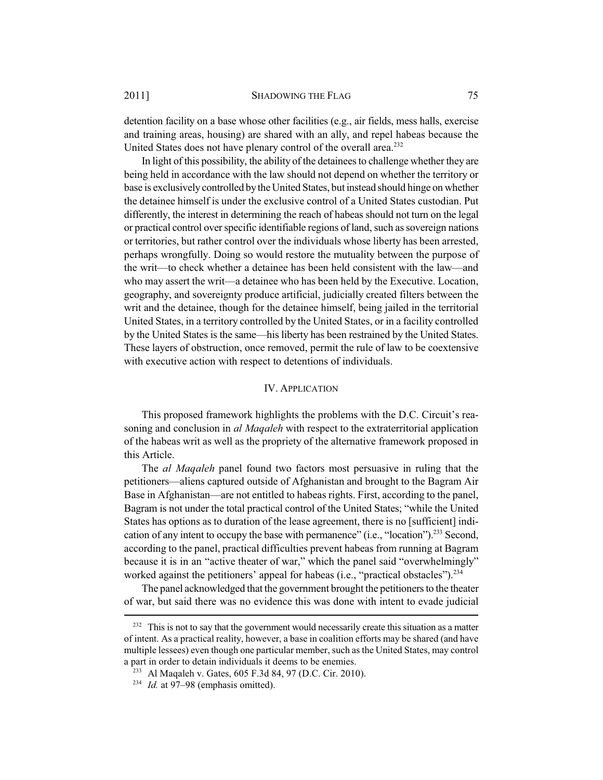2011] SHADOWING THE FLAG 75

detention facility on a base whose other facilities (e.g., air fields, mess halls, exercise and training areas, housing) are shared with an ally, and repel habeas because the United States does not have plenary control of the overall area.<sup>232</sup>

In light of this possibility, the ability of the detainees to challenge whether they are being held in accordance with the law should not depend on whether the territory or base is exclusively controlled by the United States, but instead should hinge on whether the detainee himself is under the exclusive control of a United States custodian. Put differently, the interest in determining the reach of habeas should not turn on the legal or practical control over specific identifiable regions of land, such as sovereign nations or territories, but rather control over the individuals whose liberty has been arrested, perhaps wrongfully. Doing so would restore the mutuality between the purpose of the writ—to check whether a detainee has been held consistent with the law—and who may assert the writ—a detainee who has been held by the Executive. Location, geography, and sovereignty produce artificial, judicially created filters between the writ and the detainee, though for the detainee himself, being jailed in the territorial United States, in a territory controlled by the United States, or in a facility controlled by the United States is the same—his liberty has been restrained by the United States. These layers of obstruction, once removed, permit the rule of law to be coextensive with executive action with respect to detentions of individuals.

# IV. APPLICATION

This proposed framework highlights the problems with the D.C. Circuit's reasoning and conclusion in *al Maqaleh* with respect to the extraterritorial application of the habeas writ as well as the propriety of the alternative framework proposed in this Article.

The *al Maqaleh* panel found two factors most persuasive in ruling that the petitioners—aliens captured outside of Afghanistan and brought to the Bagram Air Base in Afghanistan—are not entitled to habeas rights. First, according to the panel, Bagram is not under the total practical control of the United States; "while the United States has options as to duration of the lease agreement, there is no [sufficient] indication of any intent to occupy the base with permanence" (i.e., "location").<sup>233</sup> Second, according to the panel, practical difficulties prevent habeas from running at Bagram because it is in an "active theater of war," which the panel said "overwhelmingly" worked against the petitioners' appeal for habeas (i.e., "practical obstacles").  $234$ 

The panel acknowledged that the government brought the petitioners to the theater of war, but said there was no evidence this was done with intent to evade judicial

<sup>&</sup>lt;sup>232</sup> This is not to say that the government would necessarily create this situation as a matter of intent. As a practical reality, however, a base in coalition efforts may be shared (and have multiple lessees) even though one particular member, such as the United States, may control a part in order to detain individuals it deems to be enemies.

<sup>233</sup> Al Maqaleh v. Gates, 605 F.3d 84, 97 (D.C. Cir. 2010).

<sup>&</sup>lt;sup>234</sup> *Id.* at 97–98 (emphasis omitted).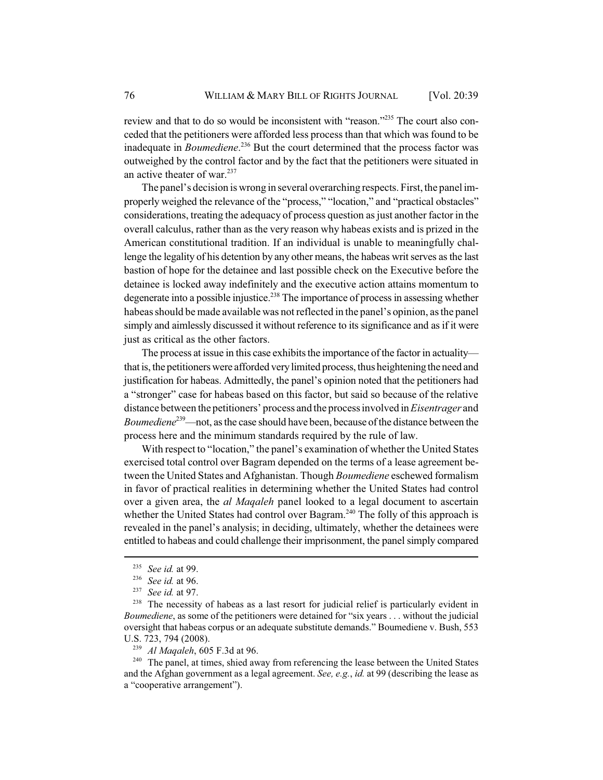review and that to do so would be inconsistent with "reason."235 The court also conceded that the petitioners were afforded less process than that which was found to be inadequate in *Boumediene*. 236 But the court determined that the process factor was outweighed by the control factor and by the fact that the petitioners were situated in an active theater of war.<sup>237</sup>

The panel's decision is wrong in several overarching respects. First, the panel improperly weighed the relevance of the "process," "location," and "practical obstacles" considerations, treating the adequacy of process question as just another factor in the overall calculus, rather than as the very reason why habeas exists and is prized in the American constitutional tradition. If an individual is unable to meaningfully challenge the legality of his detention by any other means, the habeas writ serves as the last bastion of hope for the detainee and last possible check on the Executive before the detainee is locked away indefinitely and the executive action attains momentum to degenerate into a possible injustice.<sup>238</sup> The importance of process in assessing whether habeas should be made available was not reflected in the panel's opinion, as the panel simply and aimlessly discussed it without reference to its significance and as if it were just as critical as the other factors.

The process at issue in this case exhibits the importance of the factor in actuality that is, the petitioners were afforded very limited process, thus heightening the need and justification for habeas. Admittedly, the panel's opinion noted that the petitioners had a "stronger" case for habeas based on this factor, but said so because of the relative distance between the petitioners' process and the process involved in *Eisentrager* and *Boumediene*<sup>239</sup>—not, as the case should have been, because of the distance between the process here and the minimum standards required by the rule of law.

With respect to "location," the panel's examination of whether the United States exercised total control over Bagram depended on the terms of a lease agreement between the United States and Afghanistan. Though *Boumediene* eschewed formalism in favor of practical realities in determining whether the United States had control over a given area, the *al Maqaleh* panel looked to a legal document to ascertain whether the United States had control over Bagram.<sup>240</sup> The folly of this approach is revealed in the panel's analysis; in deciding, ultimately, whether the detainees were entitled to habeas and could challenge their imprisonment, the panel simply compared

<sup>240</sup> The panel, at times, shied away from referencing the lease between the United States and the Afghan government as a legal agreement. *See, e.g.*, *id.* at 99 (describing the lease as a "cooperative arrangement").

<sup>235</sup> *See id.* at 99.

<sup>236</sup> *See id.* at 96.

<sup>237</sup> *See id.* at 97.

<sup>&</sup>lt;sup>238</sup> The necessity of habeas as a last resort for judicial relief is particularly evident in *Boumediene*, as some of the petitioners were detained for "six years . . . without the judicial oversight that habeas corpus or an adequate substitute demands." Boumediene v. Bush, 553 U.S. 723, 794 (2008).

<sup>239</sup> *Al Maqaleh*, 605 F.3d at 96.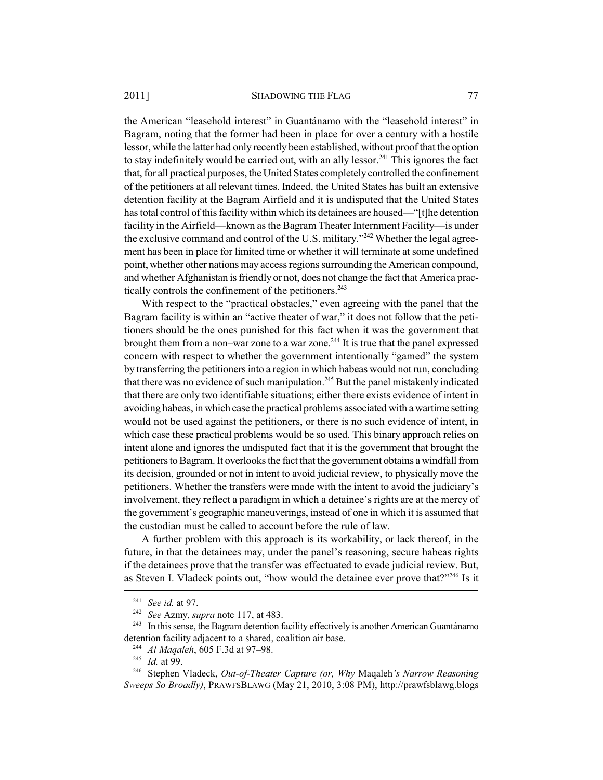the American "leasehold interest" in Guantánamo with the "leasehold interest" in Bagram, noting that the former had been in place for over a century with a hostile lessor, while the latter had only recently been established, without proof that the option to stay indefinitely would be carried out, with an ally lessor.<sup>241</sup> This ignores the fact that, for all practical purposes, the United States completely controlled the confinement of the petitioners at all relevant times. Indeed, the United States has built an extensive detention facility at the Bagram Airfield and it is undisputed that the United States has total control of this facility within which its detainees are housed—"[t]he detention facility in the Airfield—known as the Bagram Theater Internment Facility—is under the exclusive command and control of the U.S. military."<sup>242</sup> Whether the legal agreement has been in place for limited time or whether it will terminate at some undefined point, whether other nations may access regions surrounding the American compound, and whether Afghanistan is friendly or not, does not change the fact that America practically controls the confinement of the petitioners.<sup>243</sup>

With respect to the "practical obstacles," even agreeing with the panel that the Bagram facility is within an "active theater of war," it does not follow that the petitioners should be the ones punished for this fact when it was the government that brought them from a non–war zone to a war zone.<sup>244</sup> It is true that the panel expressed concern with respect to whether the government intentionally "gamed" the system by transferring the petitioners into a region in which habeas would not run, concluding that there was no evidence of such manipulation.<sup>245</sup> But the panel mistakenly indicated that there are only two identifiable situations; either there exists evidence of intent in avoiding habeas, in which case the practical problems associated with a wartime setting would not be used against the petitioners, or there is no such evidence of intent, in which case these practical problems would be so used. This binary approach relies on intent alone and ignores the undisputed fact that it is the government that brought the petitioners to Bagram. It overlooks the fact that the government obtains a windfall from its decision, grounded or not in intent to avoid judicial review, to physically move the petitioners. Whether the transfers were made with the intent to avoid the judiciary's involvement, they reflect a paradigm in which a detainee's rights are at the mercy of the government's geographic maneuverings, instead of one in which it is assumed that the custodian must be called to account before the rule of law.

A further problem with this approach is its workability, or lack thereof, in the future, in that the detainees may, under the panel's reasoning, secure habeas rights if the detainees prove that the transfer was effectuated to evade judicial review. But, as Steven I. Vladeck points out, "how would the detainee ever prove that?"246 Is it

<sup>&</sup>lt;sup>241</sup> *See id.* at 97.<br><sup>242</sup> *Soo* Azmy *su* 

<sup>242</sup> *See* Azmy, *supra* note 117, at 483.

<sup>&</sup>lt;sup>243</sup> In this sense, the Bagram detention facility effectively is another American Guantánamo detention facility adjacent to a shared, coalition air base.

<sup>244</sup> *Al Maqaleh*, 605 F.3d at 97–98.

<sup>245</sup> *Id.* at 99.

<sup>246</sup> Stephen Vladeck, *Out-of-Theater Capture (or, Why* Maqaleh*'s Narrow Reasoning Sweeps So Broadly)*, PRAWFSBLAWG (May 21, 2010, 3:08 PM), http://prawfsblawg.blogs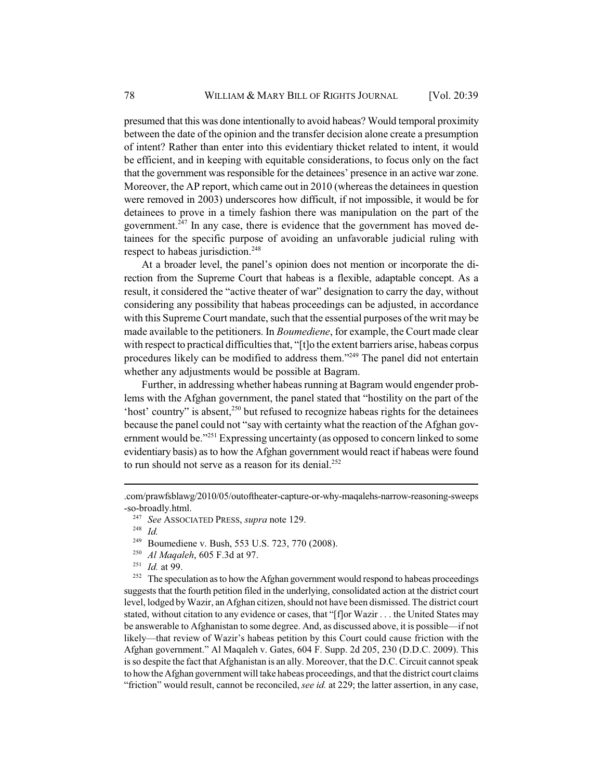presumed that this was done intentionally to avoid habeas? Would temporal proximity between the date of the opinion and the transfer decision alone create a presumption of intent? Rather than enter into this evidentiary thicket related to intent, it would be efficient, and in keeping with equitable considerations, to focus only on the fact that the government was responsible for the detainees' presence in an active war zone. Moreover, the AP report, which came out in 2010 (whereas the detainees in question were removed in 2003) underscores how difficult, if not impossible, it would be for detainees to prove in a timely fashion there was manipulation on the part of the government.<sup>247</sup> In any case, there is evidence that the government has moved detainees for the specific purpose of avoiding an unfavorable judicial ruling with respect to habeas jurisdiction.<sup>248</sup>

At a broader level, the panel's opinion does not mention or incorporate the direction from the Supreme Court that habeas is a flexible, adaptable concept. As a result, it considered the "active theater of war" designation to carry the day, without considering any possibility that habeas proceedings can be adjusted, in accordance with this Supreme Court mandate, such that the essential purposes of the writ may be made available to the petitioners. In *Boumediene*, for example, the Court made clear with respect to practical difficulties that, "[t]o the extent barriers arise, habeas corpus procedures likely can be modified to address them."<sup>249</sup> The panel did not entertain whether any adjustments would be possible at Bagram.

Further, in addressing whether habeas running at Bagram would engender problems with the Afghan government, the panel stated that "hostility on the part of the 'host' country'' is absent, $250$  but refused to recognize habeas rights for the detainees because the panel could not "say with certainty what the reaction of the Afghan government would be."<sup>251</sup> Expressing uncertainty (as opposed to concern linked to some evidentiary basis) as to how the Afghan government would react if habeas were found to run should not serve as a reason for its denial. $^{252}$ 

 $\frac{^{248}}{^{249}}$  *Id.* 

 $252$  The speculation as to how the Afghan government would respond to habeas proceedings suggests that the fourth petition filed in the underlying, consolidated action at the district court level, lodged by Wazir, an Afghan citizen, should not have been dismissed. The district court stated, without citation to any evidence or cases, that "[f]or Wazir . . . the United States may be answerable to Afghanistan to some degree. And, as discussed above, it is possible—if not likely—that review of Wazir's habeas petition by this Court could cause friction with the Afghan government." Al Maqaleh v. Gates, 604 F. Supp. 2d 205, 230 (D.D.C. 2009). This is so despite the fact that Afghanistan is an ally. Moreover, that the D.C. Circuit cannot speak to how the Afghan government will take habeas proceedings, and that the district court claims "friction" would result, cannot be reconciled, *see id.* at 229; the latter assertion, in any case,

<sup>.</sup>com/prawfsblawg/2010/05/outoftheater-capture-or-why-maqalehs-narrow-reasoning-sweeps -so-broadly.html.

<sup>247</sup> *See* ASSOCIATED PRESS, *supra* note 129.

<sup>&</sup>lt;sup>249</sup> Boumediene v. Bush, 553 U.S. 723, 770 (2008).<br><sup>250</sup> *Al Magaleh* 605 F 3d at 97

<sup>250</sup> *Al Maqaleh*, 605 F.3d at 97.

<sup>251</sup> *Id.* at 99.